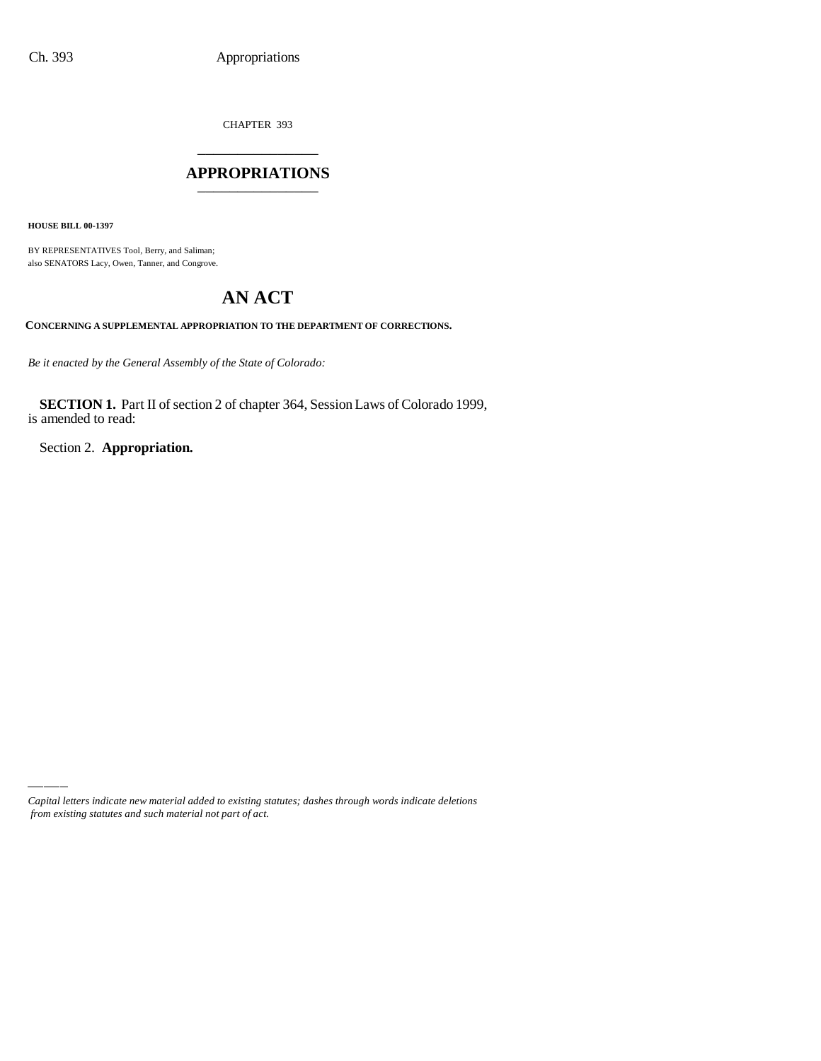CHAPTER 393 \_\_\_\_\_\_\_\_\_\_\_\_\_\_\_

#### **APPROPRIATIONS** \_\_\_\_\_\_\_\_\_\_\_\_\_\_\_

**HOUSE BILL 00-1397**

BY REPRESENTATIVES Tool, Berry, and Saliman; also SENATORS Lacy, Owen, Tanner, and Congrove.

# **AN ACT**

**CONCERNING A SUPPLEMENTAL APPROPRIATION TO THE DEPARTMENT OF CORRECTIONS.**

*Be it enacted by the General Assembly of the State of Colorado:*

**SECTION 1.** Part II of section 2 of chapter 364, Session Laws of Colorado 1999, is amended to read:

Section 2. **Appropriation.**

*Capital letters indicate new material added to existing statutes; dashes through words indicate deletions from existing statutes and such material not part of act.*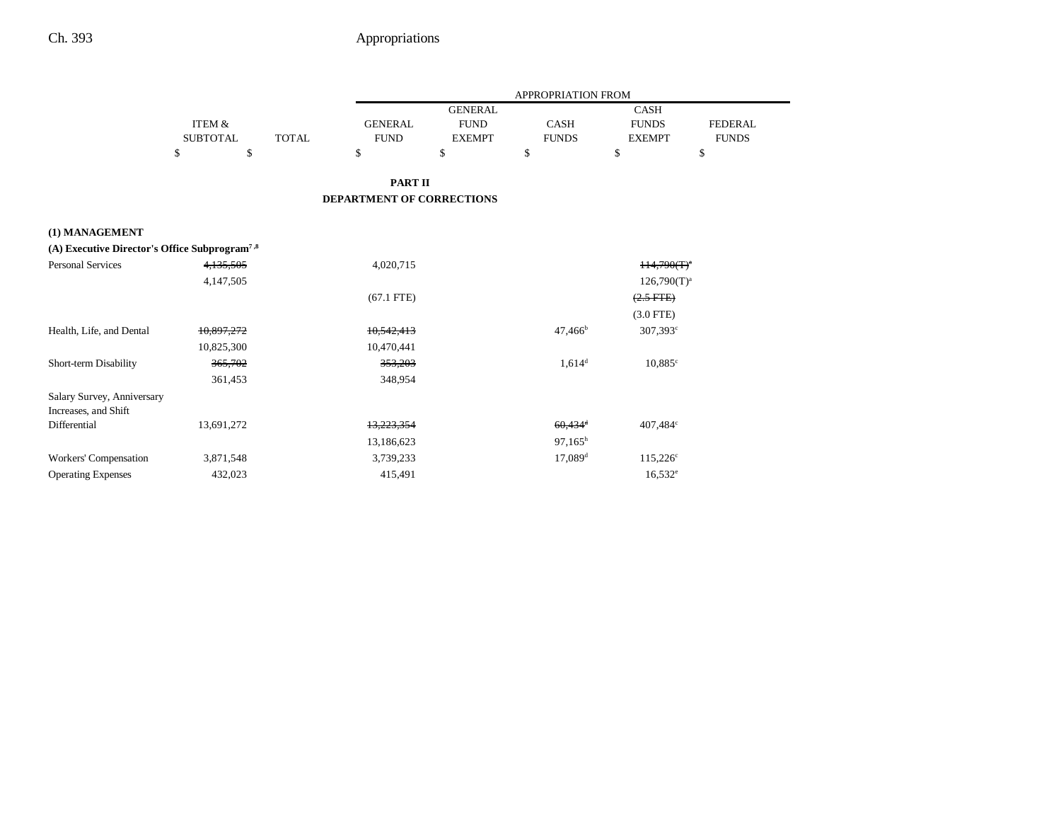|                                                           |                 |              | <b>APPROPRIATION FROM</b> |                |                       |                       |                |
|-----------------------------------------------------------|-----------------|--------------|---------------------------|----------------|-----------------------|-----------------------|----------------|
|                                                           |                 |              |                           | <b>GENERAL</b> |                       | <b>CASH</b>           |                |
|                                                           | ITEM &          |              | <b>GENERAL</b>            | <b>FUND</b>    | CASH                  | <b>FUNDS</b>          | <b>FEDERAL</b> |
|                                                           | <b>SUBTOTAL</b> | <b>TOTAL</b> | <b>FUND</b>               | <b>EXEMPT</b>  | <b>FUNDS</b>          | <b>EXEMPT</b>         | <b>FUNDS</b>   |
|                                                           | \$<br>\$        |              | \$                        | \$             | \$                    | \$                    | \$             |
|                                                           |                 |              | <b>PART II</b>            |                |                       |                       |                |
|                                                           |                 |              | DEPARTMENT OF CORRECTIONS |                |                       |                       |                |
| (1) MANAGEMENT                                            |                 |              |                           |                |                       |                       |                |
| (A) Executive Director's Office Subprogram <sup>7,8</sup> |                 |              |                           |                |                       |                       |                |
| <b>Personal Services</b>                                  | 4,135,505       |              | 4,020,715                 |                |                       | $H4,790(T)^{n}$       |                |
|                                                           | 4,147,505       |              |                           |                |                       | $126,790(T)^{a}$      |                |
|                                                           |                 |              | $(67.1$ FTE)              |                |                       | $(2.5 \text{ FFE})$   |                |
|                                                           |                 |              |                           |                |                       | $(3.0$ FTE)           |                |
| Health, Life, and Dental                                  | 10.897.272      |              | 10.542.413                |                | $47,466^{\rm b}$      | $307,393^{\circ}$     |                |
|                                                           | 10,825,300      |              | 10,470,441                |                |                       |                       |                |
| Short-term Disability                                     | 365,702         |              | 353,203                   |                | $1,614^d$             | $10,885$ <sup>c</sup> |                |
|                                                           | 361,453         |              | 348,954                   |                |                       |                       |                |
| Salary Survey, Anniversary                                |                 |              |                           |                |                       |                       |                |
| Increases, and Shift                                      |                 |              |                           |                |                       |                       |                |
| Differential                                              | 13,691,272      |              | 13.223.354                |                | $60.434$ <sup>d</sup> | 407,484°              |                |
|                                                           |                 |              | 13,186,623                |                | $97,165^h$            |                       |                |
| Workers' Compensation                                     | 3,871,548       |              | 3,739,233                 |                | $17,089$ <sup>d</sup> | $115,226^{\circ}$     |                |
| <b>Operating Expenses</b>                                 | 432,023         |              | 415,491                   |                |                       | $16,532^e$            |                |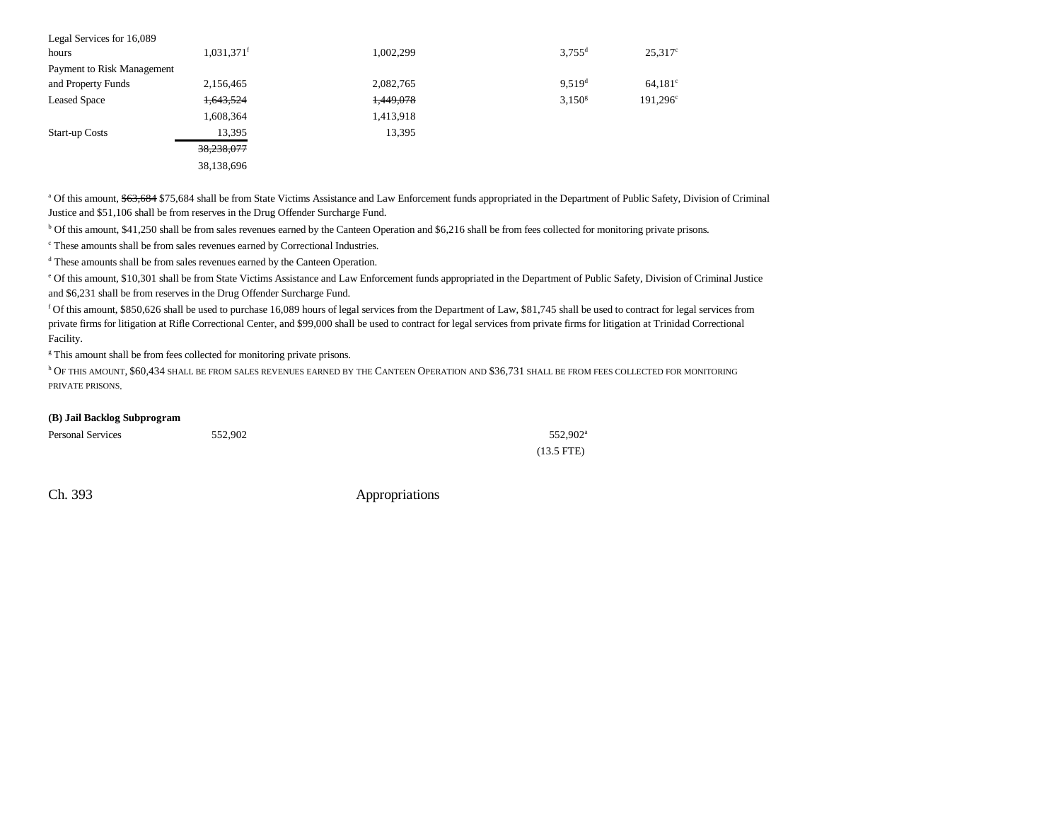| Legal Services for 16,089  |                          |           |                      |                      |
|----------------------------|--------------------------|-----------|----------------------|----------------------|
| hours                      | $1,031,371$ <sup>f</sup> | 1,002,299 | $3.755$ <sup>d</sup> | $25.317^{\circ}$     |
| Payment to Risk Management |                          |           |                      |                      |
| and Property Funds         | 2,156,465                | 2,082,765 | $9.519$ <sup>d</sup> | $64.181^{\circ}$     |
| <b>Leased Space</b>        | 1,643,524                | 1,449,078 | $3,150^{\rm g}$      | 191,296 <sup>c</sup> |
|                            | 1,608,364                | 1,413,918 |                      |                      |
| <b>Start-up Costs</b>      | 13,395                   | 13,395    |                      |                      |
|                            | 38,238,077               |           |                      |                      |
|                            | 38,138,696               |           |                      |                      |

<sup>a</sup> Of this amount, \$63,684 \$75,684 shall be from State Victims Assistance and Law Enforcement funds appropriated in the Department of Public Safety, Division of Criminal Justice and \$51,106 shall be from reserves in the Drug Offender Surcharge Fund.

b Of this amount, \$41,250 shall be from sales revenues earned by the Canteen Operation and \$6,216 shall be from fees collected for monitoring private prisons.

c These amounts shall be from sales revenues earned by Correctional Industries.

d These amounts shall be from sales revenues earned by the Canteen Operation.

e Of this amount, \$10,301 shall be from State Victims Assistance and Law Enforcement funds appropriated in the Department of Public Safety, Division of Criminal Justice and \$6,231 shall be from reserves in the Drug Offender Surcharge Fund.

f Of this amount, \$850,626 shall be used to purchase 16,089 hours of legal services from the Department of Law, \$81,745 shall be used to contract for legal services from private firms for litigation at Rifle Correctional Center, and \$99,000 shall be used to contract for legal services from private firms for litigation at Trinidad Correctional Facility.

<sup>g</sup> This amount shall be from fees collected for monitoring private prisons.

<sup>h</sup> Of this amount, \$60,434 shall be from sales revenues earned by the Canteen Operation and \$36,731 shall be from fees collected for monitoring PRIVATE PRISONS.

#### **(B) Jail Backlog Subprogram**

| <b>Personal Services</b> | 552,902 | 552.902 <sup>a</sup> |
|--------------------------|---------|----------------------|
|                          |         | $(13.5$ FTE)         |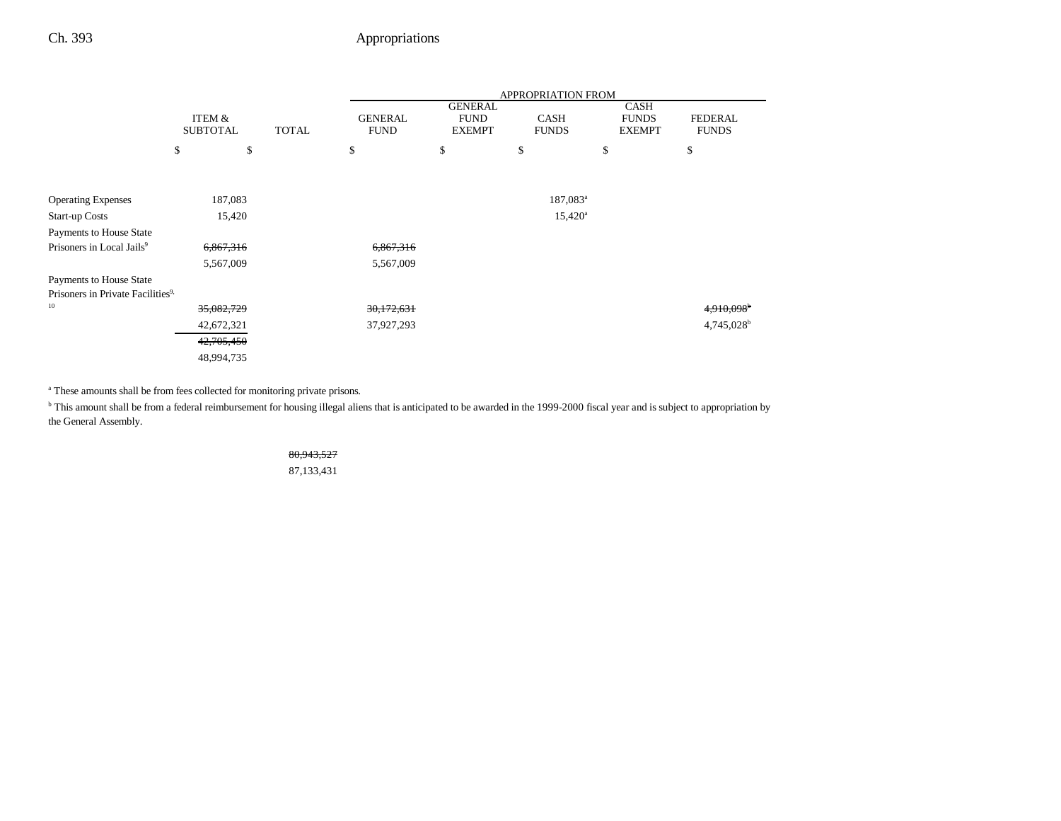|                                               |                 |        |              | <b>APPROPRIATION FROM</b> |                               |                      |                             |                        |
|-----------------------------------------------|-----------------|--------|--------------|---------------------------|-------------------------------|----------------------|-----------------------------|------------------------|
|                                               | ITEM &          |        |              | <b>GENERAL</b>            | <b>GENERAL</b><br><b>FUND</b> | <b>CASH</b>          | <b>CASH</b><br><b>FUNDS</b> | <b>FEDERAL</b>         |
|                                               | <b>SUBTOTAL</b> |        | <b>TOTAL</b> | <b>FUND</b>               | <b>EXEMPT</b>                 | <b>FUNDS</b>         | <b>EXEMPT</b>               | <b>FUNDS</b>           |
|                                               | \$              | \$     |              | \$                        | \$                            | \$                   | \$                          | \$                     |
|                                               |                 |        |              |                           |                               |                      |                             |                        |
| <b>Operating Expenses</b>                     | 187,083         |        |              |                           |                               | 187,083 <sup>a</sup> |                             |                        |
| <b>Start-up Costs</b>                         |                 | 15,420 |              |                           |                               | $15,420^{\circ}$     |                             |                        |
| Payments to House State                       |                 |        |              |                           |                               |                      |                             |                        |
| Prisoners in Local Jails <sup>9</sup>         | 6,867,316       |        |              | 6,867,316                 |                               |                      |                             |                        |
|                                               | 5,567,009       |        |              | 5,567,009                 |                               |                      |                             |                        |
| Payments to House State                       |                 |        |              |                           |                               |                      |                             |                        |
| Prisoners in Private Facilities <sup>9,</sup> |                 |        |              |                           |                               |                      |                             |                        |
| 10                                            | 35,082,729      |        |              | 30,172,631                |                               |                      |                             | 4,910,098 <sup>b</sup> |
|                                               | 42,672,321      |        |              | 37,927,293                |                               |                      |                             | 4,745,028 <sup>b</sup> |
|                                               | 42,705,450      |        |              |                           |                               |                      |                             |                        |
|                                               | 48,994,735      |        |              |                           |                               |                      |                             |                        |

<sup>a</sup> These amounts shall be from fees collected for monitoring private prisons.

<sup>b</sup> This amount shall be from a federal reimbursement for housing illegal aliens that is anticipated to be awarded in the 1999-2000 fiscal year and is subject to appropriation by the General Assembly.

#### 80,943,527

87,133,431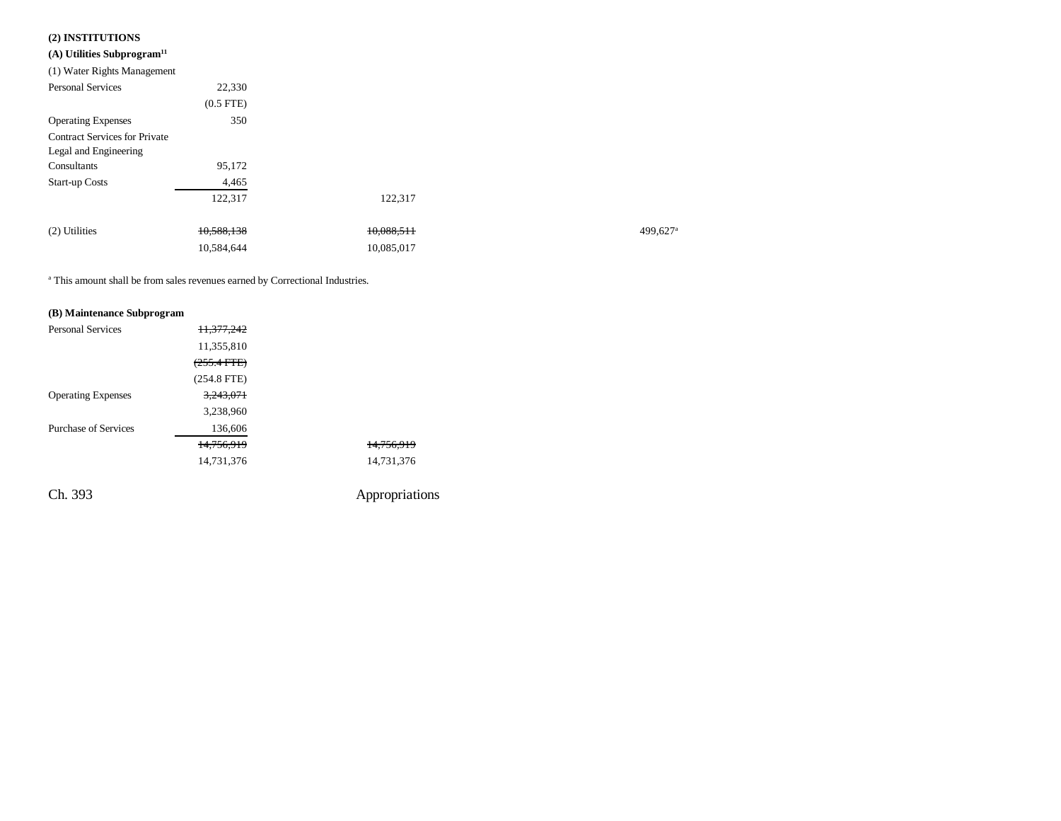## **(2) INSTITUTIONS**

| (A) Utilities Subprogram <sup>11</sup> |             |            |         |
|----------------------------------------|-------------|------------|---------|
| (1) Water Rights Management            |             |            |         |
| <b>Personal Services</b>               | 22,330      |            |         |
|                                        | $(0.5$ FTE) |            |         |
| <b>Operating Expenses</b>              | 350         |            |         |
| <b>Contract Services for Private</b>   |             |            |         |
| Legal and Engineering                  |             |            |         |
| Consultants                            | 95,172      |            |         |
| <b>Start-up Costs</b>                  | 4,465       |            |         |
|                                        | 122,317     | 122,317    |         |
| (2) Utilities                          | 10,588,138  | 10,088,511 | 499,627 |
|                                        | 10,584,644  | 10,085,017 |         |

a This amount shall be from sales revenues earned by Correctional Industries.

#### **(B) Maintenance Subprogram**

| <b>Personal Services</b>    | 11,377,242    |                |
|-----------------------------|---------------|----------------|
|                             | 11,355,810    |                |
|                             | $(255.4$ FTE) |                |
|                             | $(254.8$ FTE) |                |
| <b>Operating Expenses</b>   | 3,243,071     |                |
|                             | 3,238,960     |                |
| <b>Purchase of Services</b> | 136,606       |                |
|                             | 14.756.919    | 14.756.919     |
|                             | 14,731,376    | 14,731,376     |
| Ch. 393                     |               | Appropriations |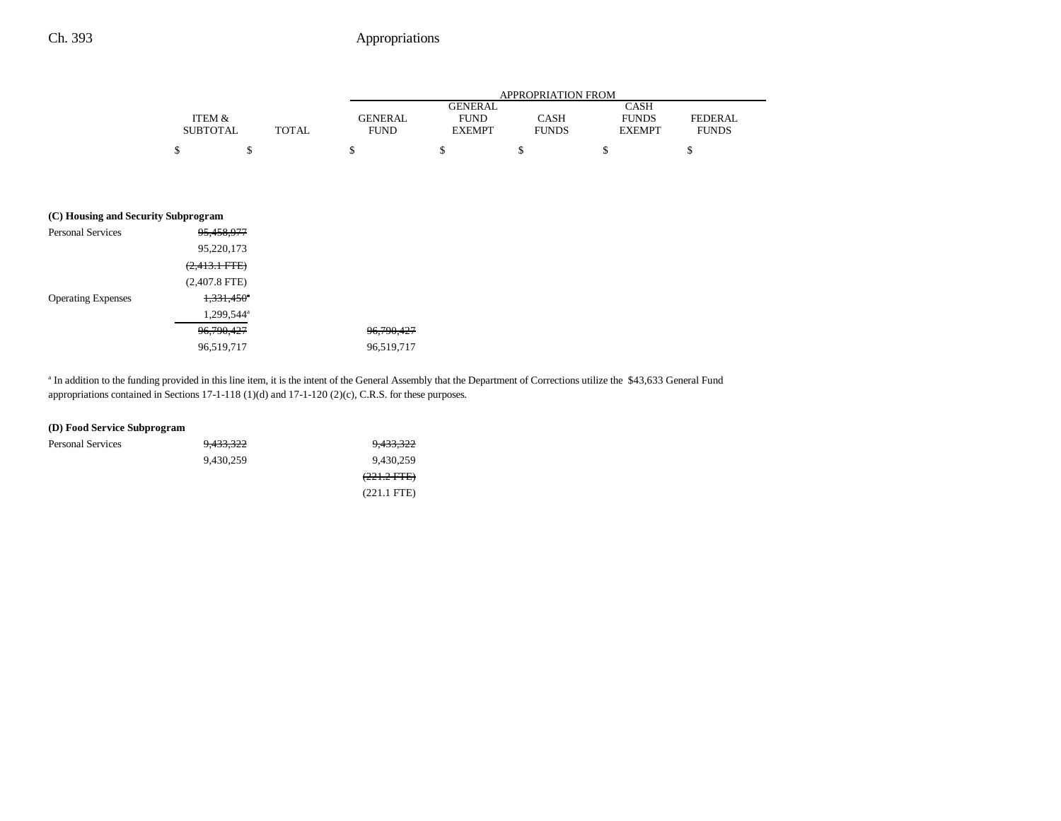|                 |       | APPROPRIATION FROM |                |              |               |              |
|-----------------|-------|--------------------|----------------|--------------|---------------|--------------|
|                 |       |                    | <b>GENERAL</b> |              | <b>CASH</b>   |              |
| ITEM &          |       | <b>GENERAL</b>     | <b>FUND</b>    | CASH         | <b>FUNDS</b>  | FEDERAL      |
| <b>SUBTOTAL</b> | TOTAL | <b>FUND</b>        | <b>EXEMPT</b>  | <b>FUNDS</b> | <b>EXEMPT</b> | <b>FUNDS</b> |
| ሖ               |       |                    |                |              |               |              |

#### **(C) Housing and Security Subprogram**

| <b>Personal Services</b>  | 95,458,977             |              |
|---------------------------|------------------------|--------------|
|                           | 95,220,173             |              |
|                           | $(2,413.1$ FTE)        |              |
|                           | $(2,407.8$ FTE)        |              |
| <b>Operating Expenses</b> | $1,331,450^\circ$      |              |
|                           | 1,299,544 <sup>a</sup> |              |
|                           | 96, 790, 427           | 96, 790, 427 |
|                           | 96,519,717             | 96,519,717   |

<sup>a</sup> In addition to the funding provided in this line item, it is the intent of the General Assembly that the Department of Corrections utilize the \$43,633 General Fund appropriations contained in Sections 17-1-118 (1)(d) and 17-1-120 (2)(c), C.R.S. for these purposes.

| (D) Food Service Subprogram |           |               |
|-----------------------------|-----------|---------------|
| <b>Personal Services</b>    | 9,433,322 | 9,433,322     |
|                             | 9.430.259 | 9.430.259     |
|                             |           | $(221.2$ FTE) |
|                             |           | $(221.1$ FTE) |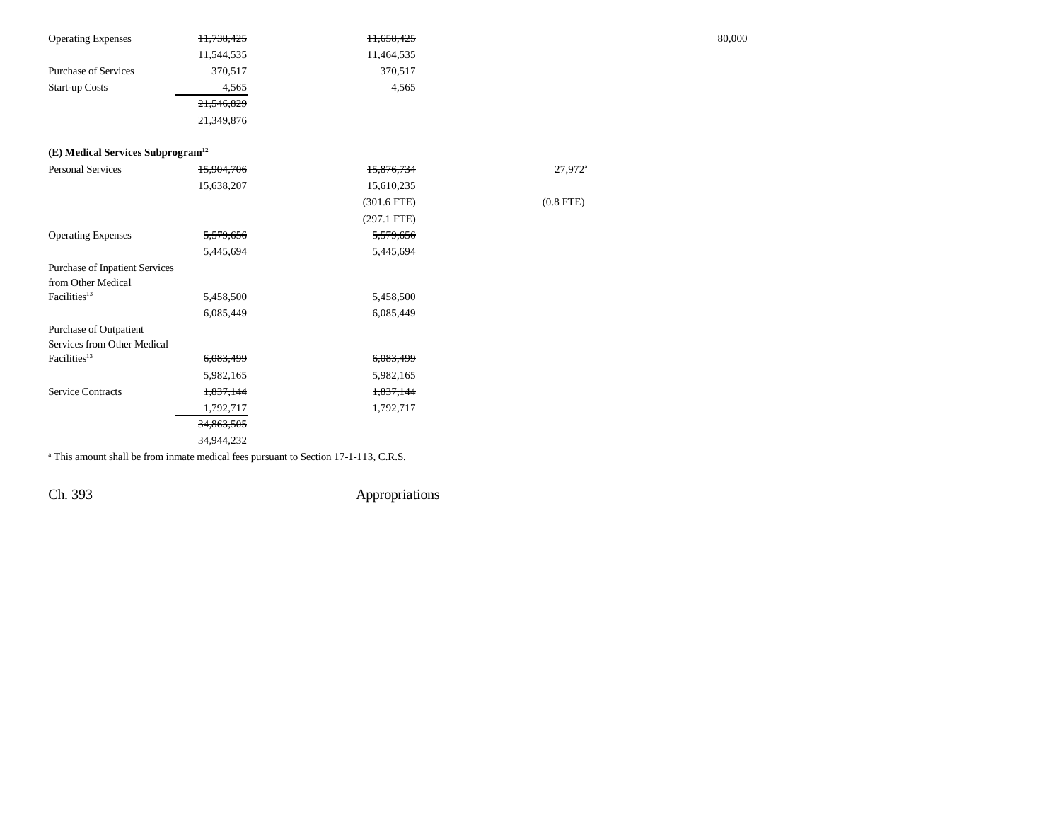| <b>Operating Expenses</b>                     | 11,738,425 | 11,658,425       |                     | 80,000 |
|-----------------------------------------------|------------|------------------|---------------------|--------|
|                                               | 11,544,535 | 11,464,535       |                     |        |
| <b>Purchase of Services</b>                   | 370,517    | 370,517          |                     |        |
| Start-up Costs                                | 4,565      | 4,565            |                     |        |
|                                               | 21,546,829 |                  |                     |        |
|                                               | 21,349,876 |                  |                     |        |
| (E) Medical Services Subprogram <sup>12</sup> |            |                  |                     |        |
| <b>Personal Services</b>                      | 15,904,706 | 15,876,734       | 27,972 <sup>a</sup> |        |
|                                               | 15,638,207 | 15,610,235       |                     |        |
|                                               |            | $(301.6$ FTE $)$ | $(0.8$ FTE)         |        |
|                                               |            | $(297.1$ FTE)    |                     |        |
| <b>Operating Expenses</b>                     | 5,579,656  | 5,579,656        |                     |        |
|                                               | 5,445,694  | 5,445,694        |                     |        |
| Purchase of Inpatient Services                |            |                  |                     |        |
| from Other Medical                            |            |                  |                     |        |
| Facilities <sup>13</sup>                      | 5,458,500  | 5,458,500        |                     |        |
|                                               | 6,085,449  | 6,085,449        |                     |        |
| Purchase of Outpatient                        |            |                  |                     |        |
| Services from Other Medical                   |            |                  |                     |        |
| Facilities <sup>13</sup>                      | 6,083,499  | 6,083,499        |                     |        |
|                                               | 5,982,165  | 5,982,165        |                     |        |
| <b>Service Contracts</b>                      | 1,837,144  | 1,837,144        |                     |        |
|                                               | 1,792,717  | 1,792,717        |                     |        |
|                                               | 34,863,505 |                  |                     |        |
|                                               | 34,944,232 |                  |                     |        |

<sup>a</sup> This amount shall be from inmate medical fees pursuant to Section 17-1-113, C.R.S.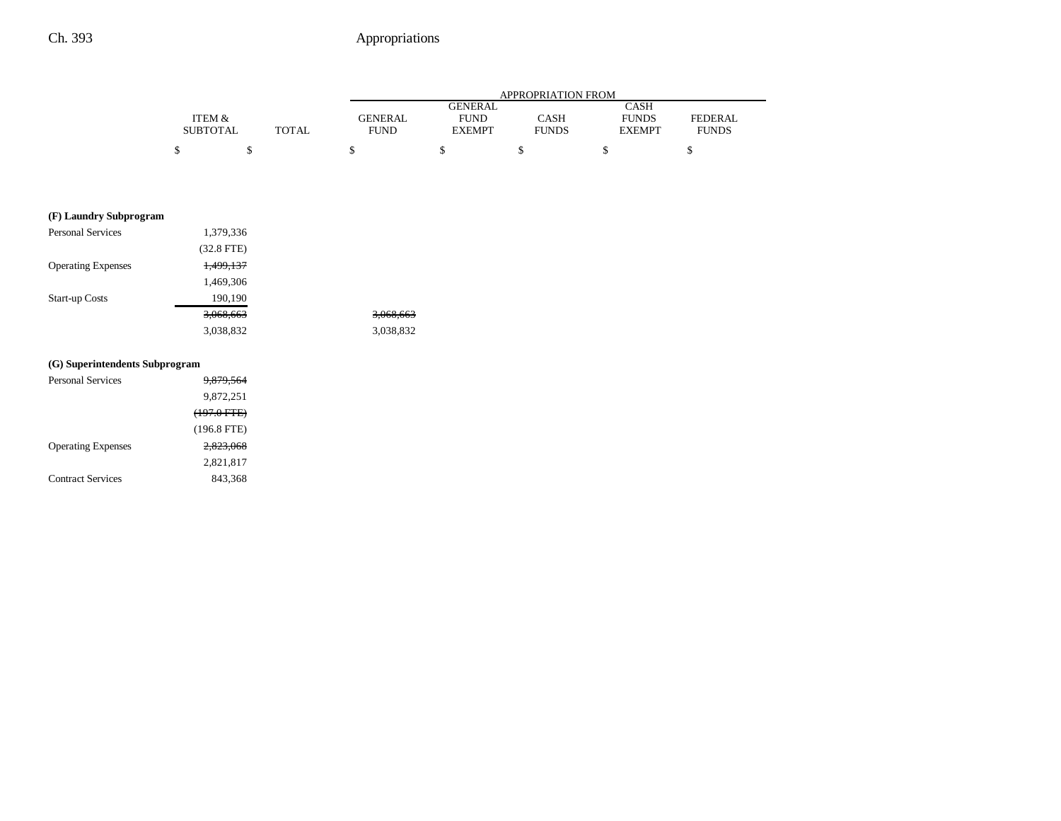|                 |       |                | APPROPRIATION FROM |              |               |                |
|-----------------|-------|----------------|--------------------|--------------|---------------|----------------|
|                 |       |                | GENERAL            |              | <b>CASH</b>   |                |
| ITEM &          |       | <b>GENERAL</b> | <b>FUND</b>        | CASH         | <b>FUNDS</b>  | <b>FEDERAL</b> |
| <b>SUBTOTAL</b> | TOTAL | <b>FUND</b>    | <b>EXEMPT</b>      | <b>FUNDS</b> | <b>EXEMPT</b> | <b>FUNDS</b>   |
|                 |       |                |                    |              |               |                |

## **(F) Laundry Subprogram**

| <b>Personal Services</b>  | 1,379,336    |           |
|---------------------------|--------------|-----------|
|                           | $(32.8$ FTE) |           |
| <b>Operating Expenses</b> | 1,499,137    |           |
|                           | 1,469,306    |           |
| <b>Start-up Costs</b>     | 190,190      |           |
|                           | 3,068,663    | 3,068,663 |
|                           | 3,038,832    | 3,038,832 |

### **(G) Superintendents Subprogram**

| <b>Personal Services</b>  | <del>9.879.564</del>   |
|---------------------------|------------------------|
|                           | 9,872,251              |
|                           | <del>(197.0 FTE)</del> |
|                           | $(196.8$ FTE)          |
| <b>Operating Expenses</b> | 2.823.068              |
|                           | 2,821,817              |
| <b>Contract Services</b>  | 843,368                |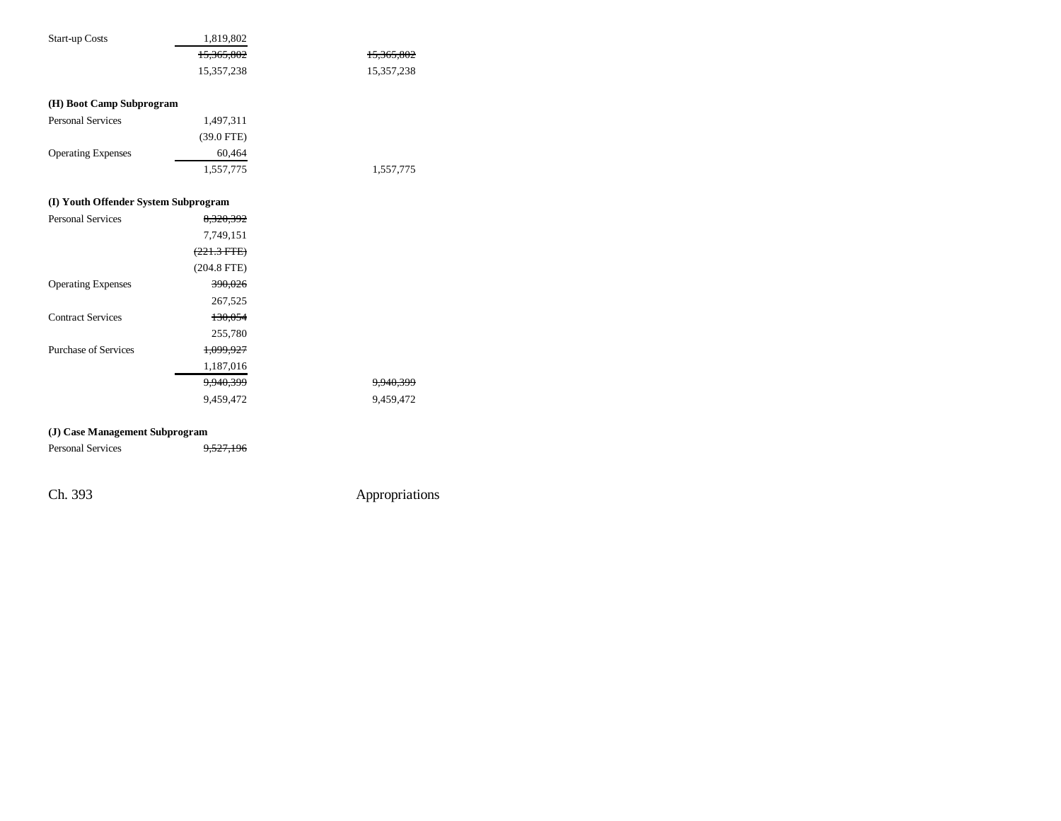| <b>Start-up Costs</b>                | 1,819,802             |                      |
|--------------------------------------|-----------------------|----------------------|
|                                      | 15,365,802            | 15,365,802           |
|                                      | 15,357,238            | 15,357,238           |
|                                      |                       |                      |
| (H) Boot Camp Subprogram             |                       |                      |
| <b>Personal Services</b>             | 1,497,311             |                      |
|                                      | $(39.0$ FTE)          |                      |
| <b>Operating Expenses</b>            | 60,464                |                      |
|                                      | 1,557,775             | 1,557,775            |
|                                      |                       |                      |
| (I) Youth Offender System Subprogram |                       |                      |
| <b>Personal Services</b>             | 8,320,392             |                      |
|                                      | 7,749,151             |                      |
|                                      | $(221.3 \text{ FTE})$ |                      |
|                                      | $(204.8$ FTE)         |                      |
| <b>Operating Expenses</b>            | 390,026               |                      |
|                                      | 267,525               |                      |
| <b>Contract Services</b>             | 130,054               |                      |
|                                      | 255,780               |                      |
| <b>Purchase of Services</b>          | 1,099,927             |                      |
|                                      | 1,187,016             |                      |
|                                      | 9,940,399             | <del>9,940,399</del> |
|                                      | 9,459,472             | 9,459,472            |
|                                      |                       |                      |
| (I) Case Management Suhnrogram       |                       |                      |

#### **(J) Case Management Subprogram**

Personal Services 9,527,196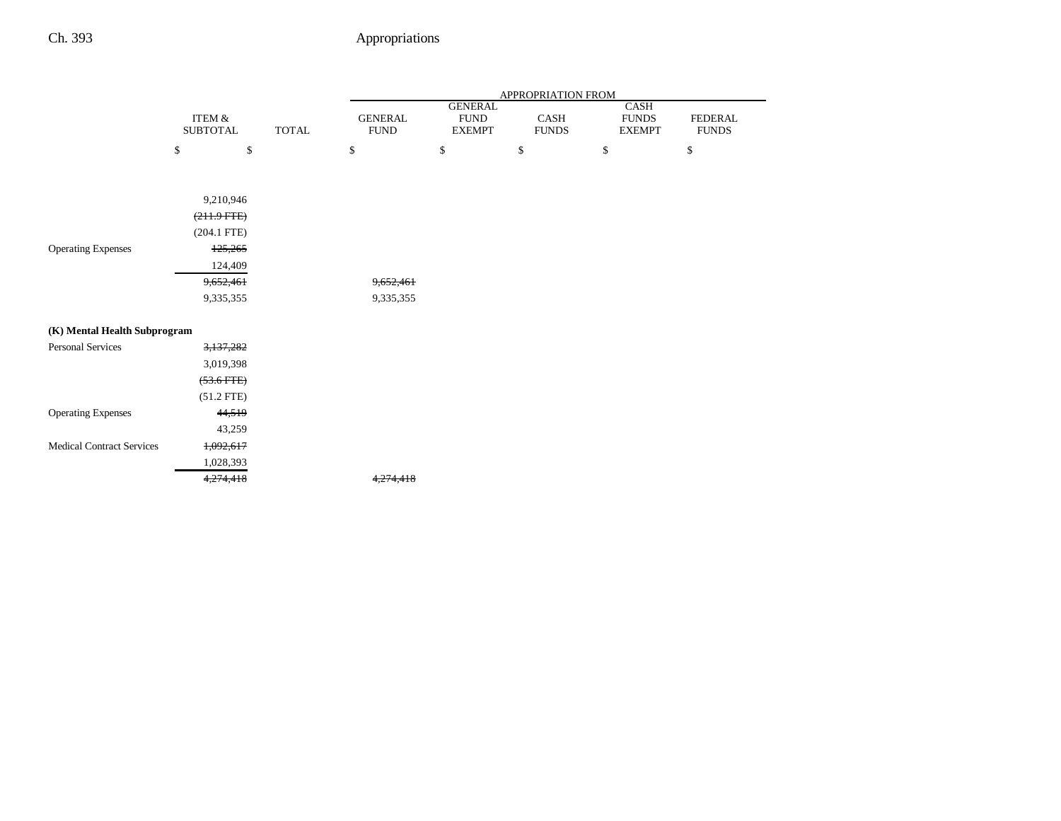|                                  |                           |              | APPROPRIATION FROM            |                              |                      |                               |                                |  |
|----------------------------------|---------------------------|--------------|-------------------------------|------------------------------|----------------------|-------------------------------|--------------------------------|--|
|                                  |                           |              |                               | <b>GENERAL</b>               |                      | CASH                          |                                |  |
|                                  | ITEM &<br><b>SUBTOTAL</b> | <b>TOTAL</b> | <b>GENERAL</b><br><b>FUND</b> | <b>FUND</b><br><b>EXEMPT</b> | CASH<br><b>FUNDS</b> | <b>FUNDS</b><br><b>EXEMPT</b> | <b>FEDERAL</b><br><b>FUNDS</b> |  |
|                                  | \$<br>\$                  |              | \$                            | $\mathbb{S}$                 | \$                   | \$                            | $\$$                           |  |
|                                  | 9,210,946                 |              |                               |                              |                      |                               |                                |  |
|                                  | $(211.9$ FTE $)$          |              |                               |                              |                      |                               |                                |  |
|                                  | $(204.1$ FTE)             |              |                               |                              |                      |                               |                                |  |
| <b>Operating Expenses</b>        | 125,265                   |              |                               |                              |                      |                               |                                |  |
|                                  | 124,409                   |              |                               |                              |                      |                               |                                |  |
|                                  | 9,652,461                 |              | 9,652,461                     |                              |                      |                               |                                |  |
|                                  | 9,335,355                 |              | 9,335,355                     |                              |                      |                               |                                |  |
| (K) Mental Health Subprogram     |                           |              |                               |                              |                      |                               |                                |  |
| <b>Personal Services</b>         | 3,137,282                 |              |                               |                              |                      |                               |                                |  |
|                                  | 3,019,398                 |              |                               |                              |                      |                               |                                |  |
|                                  | $(53.6$ FTE $)$           |              |                               |                              |                      |                               |                                |  |
|                                  | $(51.2$ FTE)              |              |                               |                              |                      |                               |                                |  |
| <b>Operating Expenses</b>        | 44,519                    |              |                               |                              |                      |                               |                                |  |
|                                  | 43,259                    |              |                               |                              |                      |                               |                                |  |
| <b>Medical Contract Services</b> | 1,092,617                 |              |                               |                              |                      |                               |                                |  |
|                                  | 1,028,393                 |              |                               |                              |                      |                               |                                |  |
|                                  | 4,274,418                 |              | 27/<br>418                    |                              |                      |                               |                                |  |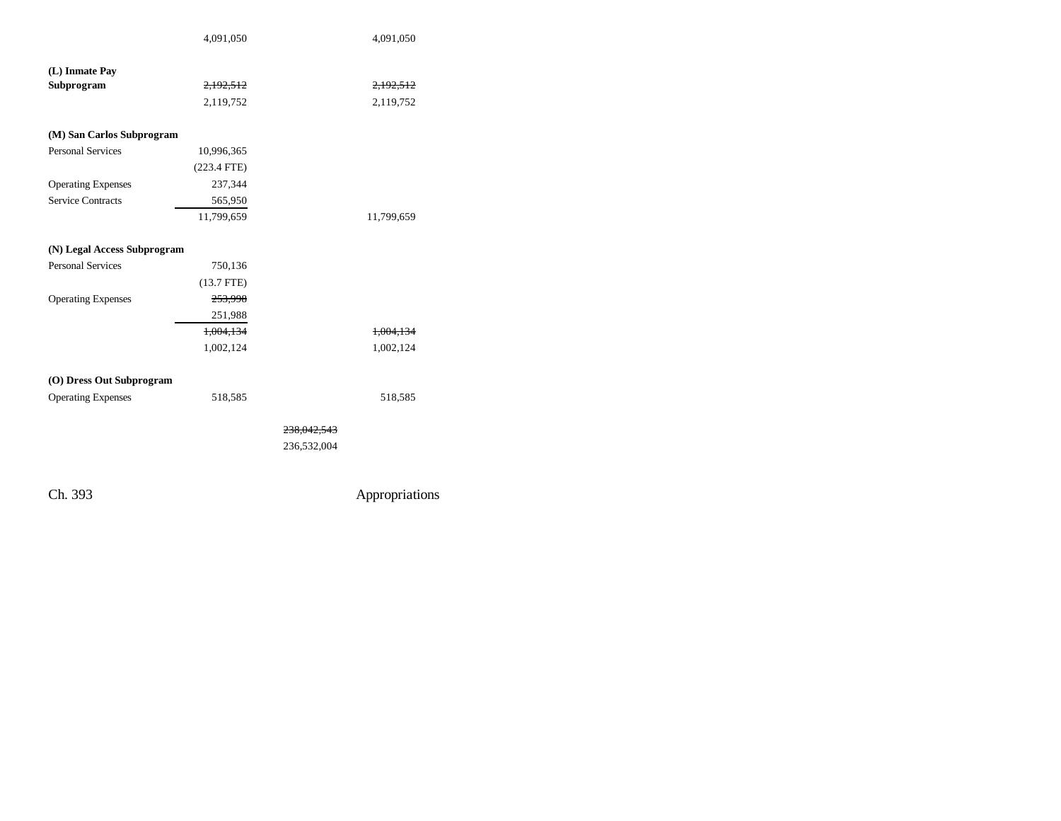|                             | 4,091,050     |             | 4,091,050  |
|-----------------------------|---------------|-------------|------------|
|                             |               |             |            |
| (L) Inmate Pay              |               |             |            |
| Subprogram                  | 2,192,512     |             | 2,192,512  |
|                             | 2,119,752     |             | 2,119,752  |
| (M) San Carlos Subprogram   |               |             |            |
| <b>Personal Services</b>    | 10,996,365    |             |            |
|                             | $(223.4$ FTE) |             |            |
| <b>Operating Expenses</b>   | 237,344       |             |            |
| <b>Service Contracts</b>    | 565,950       |             |            |
|                             | 11,799,659    |             | 11,799,659 |
|                             |               |             |            |
| (N) Legal Access Subprogram |               |             |            |
| <b>Personal Services</b>    | 750,136       |             |            |
|                             | $(13.7$ FTE)  |             |            |
| <b>Operating Expenses</b>   | 253,998       |             |            |
|                             | 251,988       |             |            |
|                             | 1,004,134     |             | 1,004,134  |
|                             | 1,002,124     |             | 1,002,124  |
|                             |               |             |            |
| (O) Dress Out Subprogram    |               |             |            |
| <b>Operating Expenses</b>   | 518,585       |             | 518,585    |
|                             |               | 238,042,543 |            |
|                             |               | 236,532,004 |            |
|                             |               |             |            |
|                             |               |             |            |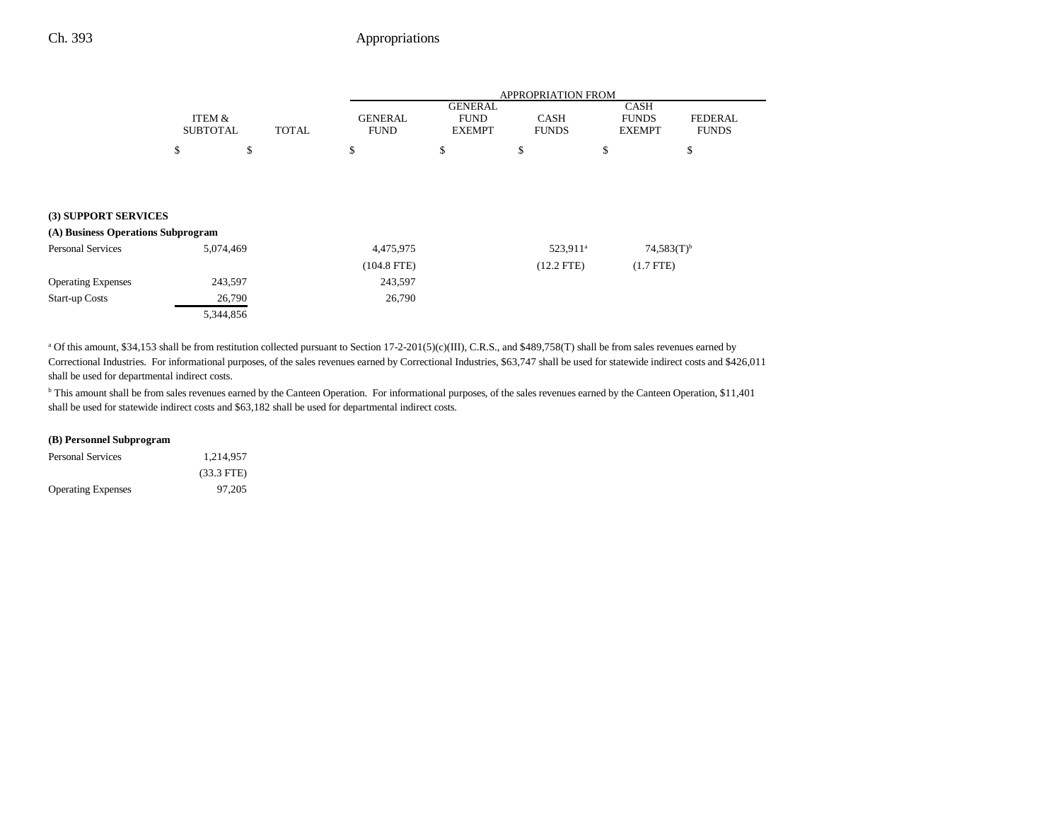## Ch. 393 Appropriations

|                                    |           | ITEM &<br><b>SUBTOTAL</b><br><b>TOTAL</b> |  | APPROPRIATION FROM            |                                                |                             |                                              |                                |  |
|------------------------------------|-----------|-------------------------------------------|--|-------------------------------|------------------------------------------------|-----------------------------|----------------------------------------------|--------------------------------|--|
|                                    |           |                                           |  | <b>GENERAL</b><br><b>FUND</b> | <b>GENERAL</b><br><b>FUND</b><br><b>EXEMPT</b> | <b>CASH</b><br><b>FUNDS</b> | <b>CASH</b><br><b>FUNDS</b><br><b>EXEMPT</b> | <b>FEDERAL</b><br><b>FUNDS</b> |  |
|                                    | \$        | \$                                        |  | \$                            | \$                                             | \$                          | \$                                           | \$                             |  |
|                                    |           |                                           |  |                               |                                                |                             |                                              |                                |  |
|                                    |           |                                           |  |                               |                                                |                             |                                              |                                |  |
| (3) SUPPORT SERVICES               |           |                                           |  |                               |                                                |                             |                                              |                                |  |
| (A) Business Operations Subprogram |           |                                           |  |                               |                                                |                             |                                              |                                |  |
| <b>Personal Services</b>           | 5,074,469 |                                           |  | 4,475,975                     |                                                | 523,911 <sup>a</sup>        |                                              | $74,583(T)$ <sup>b</sup>       |  |
|                                    |           |                                           |  | $(104.8$ FTE)                 |                                                | $(12.2$ FTE)                |                                              | $(1.7$ FTE)                    |  |
| <b>Operating Expenses</b>          | 243,597   |                                           |  | 243,597                       |                                                |                             |                                              |                                |  |
| <b>Start-up Costs</b>              |           | 26,790                                    |  | 26,790                        |                                                |                             |                                              |                                |  |
|                                    | 5,344,856 |                                           |  |                               |                                                |                             |                                              |                                |  |

<sup>a</sup> Of this amount, \$34,153 shall be from restitution collected pursuant to Section 17-2-201(5)(c)(III), C.R.S., and \$489,758(T) shall be from sales revenues earned by Correctional Industries. For informational purposes, of the sales revenues earned by Correctional Industries, \$63,747 shall be used for statewide indirect costs and \$426,011 shall be used for departmental indirect costs.

<sup>b</sup> This amount shall be from sales revenues earned by the Canteen Operation. For informational purposes, of the sales revenues earned by the Canteen Operation, \$11,401 shall be used for statewide indirect costs and \$63,182 shall be used for departmental indirect costs.

#### **(B) Personnel Subprogram**

| Personal Services         | 1.214.957            |  |
|---------------------------|----------------------|--|
|                           | $(33.3 \text{ FTE})$ |  |
| <b>Operating Expenses</b> | 97.205               |  |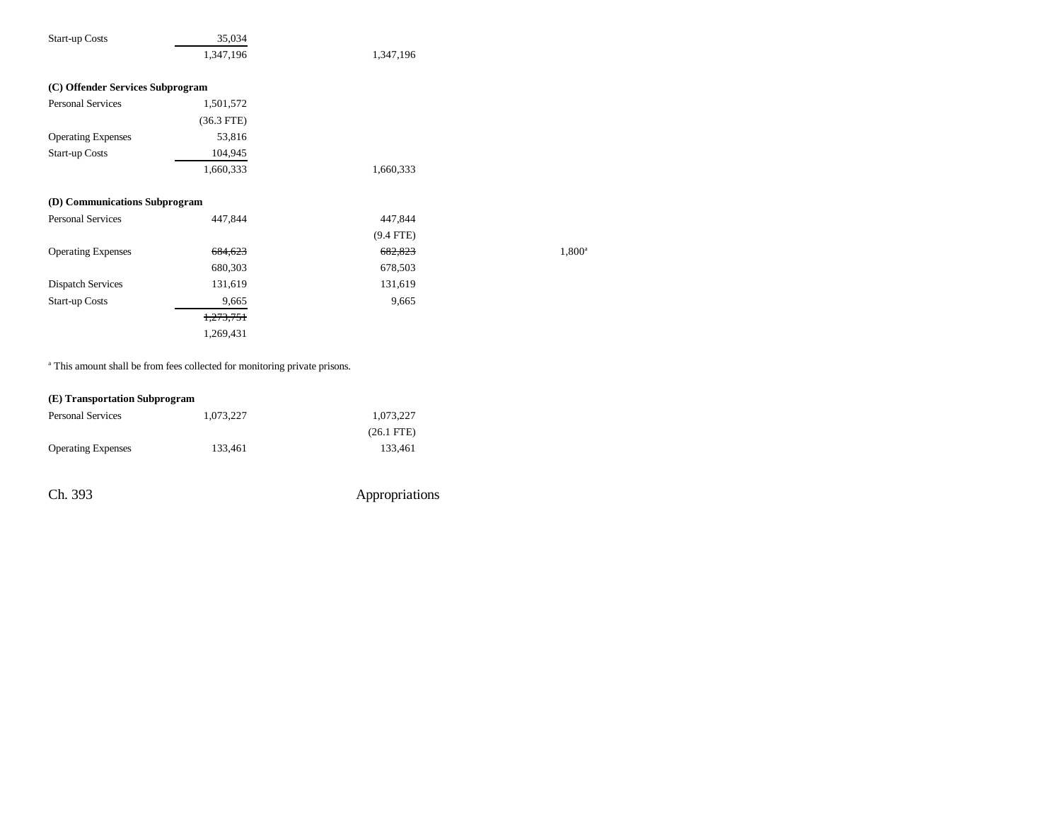| <b>Start-up Costs</b>            | 35,034       |             |                 |
|----------------------------------|--------------|-------------|-----------------|
|                                  | 1,347,196    | 1,347,196   |                 |
| (C) Offender Services Subprogram |              |             |                 |
| Personal Services                | 1,501,572    |             |                 |
|                                  | $(36.3$ FTE) |             |                 |
| <b>Operating Expenses</b>        | 53,816       |             |                 |
| <b>Start-up Costs</b>            | 104,945      |             |                 |
|                                  | 1,660,333    | 1,660,333   |                 |
| (D) Communications Subprogram    |              |             |                 |
| Personal Services                | 447,844      | 447,844     |                 |
|                                  |              | $(9.4$ FTE) |                 |
| <b>Operating Expenses</b>        | 684,623      | 682,823     | $1,800^{\circ}$ |
|                                  | 680,303      | 678,503     |                 |
| <b>Dispatch Services</b>         | 131,619      | 131,619     |                 |
| <b>Start-up Costs</b>            | 9,665        | 9,665       |                 |
|                                  | 1,273,751    |             |                 |
|                                  | 1,269,431    |             |                 |
|                                  |              |             |                 |

<sup>a</sup> This amount shall be from fees collected for monitoring private prisons.

| (E) Transportation Subprogram |  |
|-------------------------------|--|
|-------------------------------|--|

| <b>Personal Services</b>  | 1.073.227 | 1.073.227            |
|---------------------------|-----------|----------------------|
|                           |           | $(26.1 \text{ FTE})$ |
| <b>Operating Expenses</b> | 133.461   | 133.461              |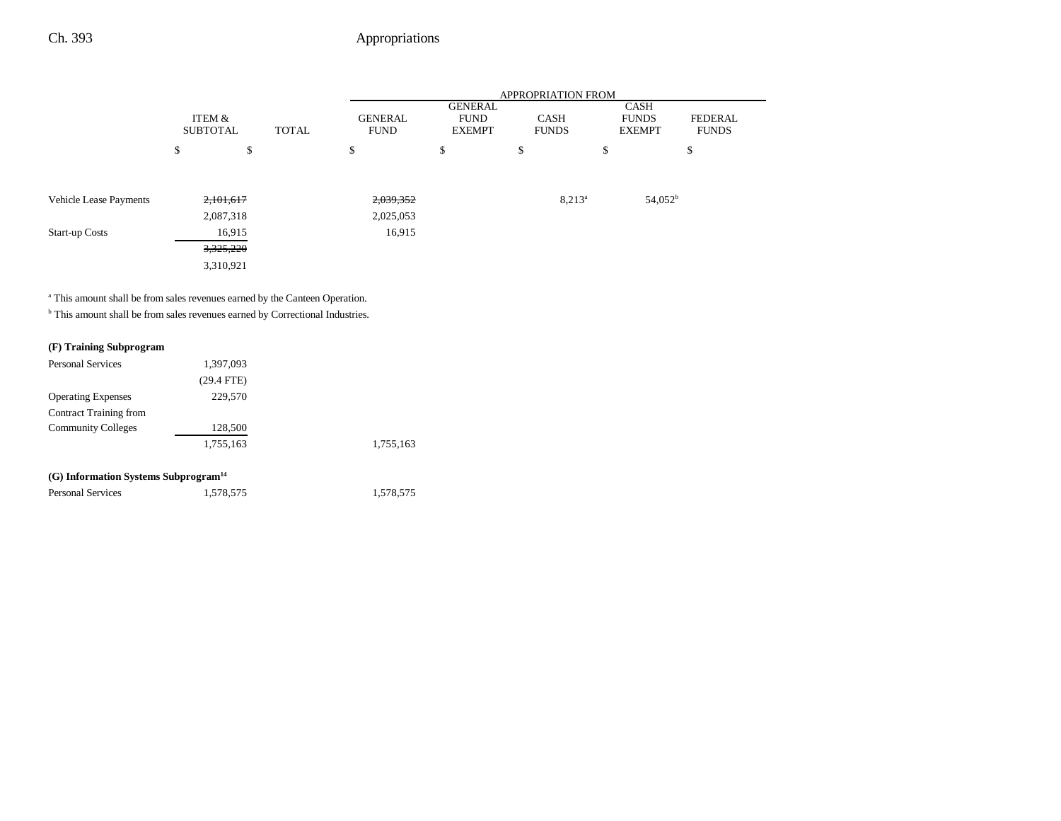|                               |                           |           |              | <b>APPROPRIATION FROM</b>     |                                         |                             |    |                                              |                                |
|-------------------------------|---------------------------|-----------|--------------|-------------------------------|-----------------------------------------|-----------------------------|----|----------------------------------------------|--------------------------------|
|                               | ITEM &<br><b>SUBTOTAL</b> |           | <b>TOTAL</b> | <b>GENERAL</b><br><b>FUND</b> | GENERAL<br><b>FUND</b><br><b>EXEMPT</b> | <b>CASH</b><br><b>FUNDS</b> |    | <b>CASH</b><br><b>FUNDS</b><br><b>EXEMPT</b> | <b>FEDERAL</b><br><b>FUNDS</b> |
|                               | \$                        | \$        |              | \$                            | \$                                      | \$                          | \$ |                                              | \$                             |
|                               |                           |           |              |                               |                                         |                             |    |                                              |                                |
| <b>Vehicle Lease Payments</b> |                           | 2,101,617 |              | 2,039,352                     |                                         | $8,213^a$                   |    | $54,052^{\rm b}$                             |                                |
|                               |                           | 2,087,318 |              | 2,025,053                     |                                         |                             |    |                                              |                                |
| <b>Start-up Costs</b>         |                           | 16,915    |              | 16,915                        |                                         |                             |    |                                              |                                |
|                               |                           | 3,325,220 |              |                               |                                         |                             |    |                                              |                                |
|                               |                           | 3,310,921 |              |                               |                                         |                             |    |                                              |                                |

<sup>a</sup> This amount shall be from sales revenues earned by the Canteen Operation.

 $^{\rm b}$  This amount shall be from sales revenues earned by Correctional Industries.

## **(F) Training Subprogram**

| <b>Personal Services</b>                         | 1,397,093    |           |
|--------------------------------------------------|--------------|-----------|
|                                                  | $(29.4$ FTE) |           |
| <b>Operating Expenses</b>                        | 229,570      |           |
| Contract Training from                           |              |           |
| <b>Community Colleges</b>                        | 128,500      |           |
|                                                  | 1,755,163    | 1,755,163 |
| (G) Information Systems Subprogram <sup>14</sup> |              |           |
| <b>Personal Services</b>                         | 1.578.575    | 1.578.575 |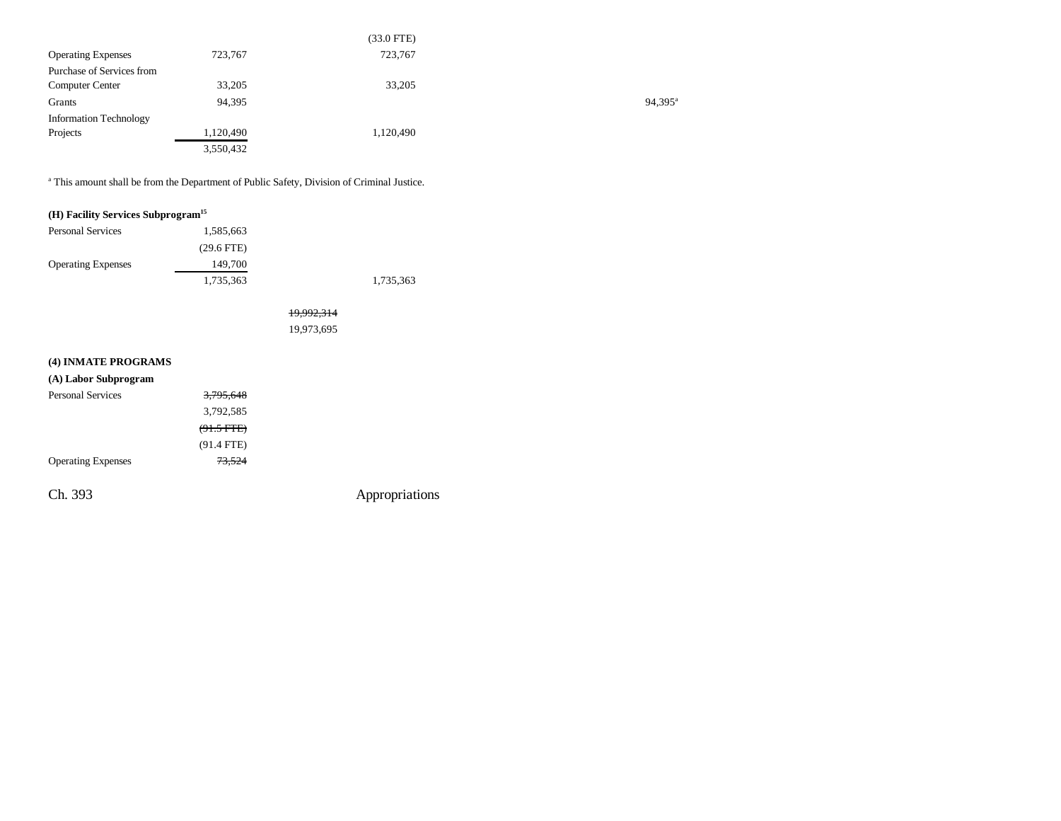|                               |           | (33.0 FTE) |                  |
|-------------------------------|-----------|------------|------------------|
| <b>Operating Expenses</b>     | 723,767   | 723,767    |                  |
| Purchase of Services from     |           |            |                  |
| <b>Computer Center</b>        | 33,205    | 33,205     |                  |
| Grants                        | 94,395    |            | $94,395^{\rm a}$ |
| <b>Information Technology</b> |           |            |                  |
| Projects                      | 1,120,490 | 1,120,490  |                  |
|                               | 3,550,432 |            |                  |

a This amount shall be from the Department of Public Safety, Division of Criminal Justice.

|  | (H) Facility Services Subprogram <sup>15</sup> |  |
|--|------------------------------------------------|--|
|  |                                                |  |

| <b>Personal Services</b>  | 1,585,663    |           |
|---------------------------|--------------|-----------|
|                           | $(29.6$ FTE) |           |
| <b>Operating Expenses</b> | 149,700      |           |
|                           | 1,735,363    | 1,735,363 |

19,992,314 19,973,695

## **(4) INMATE PROGRAMS (A) Labor Subprogram**

| <b>Personal Services</b>  | 3,795,648    |                |
|---------------------------|--------------|----------------|
|                           | 3,792,585    |                |
|                           | $(91.5$ FTE) |                |
|                           | $(91.4$ FTE) |                |
| <b>Operating Expenses</b> | 73,524       |                |
| Ch. 393                   |              | Appropriations |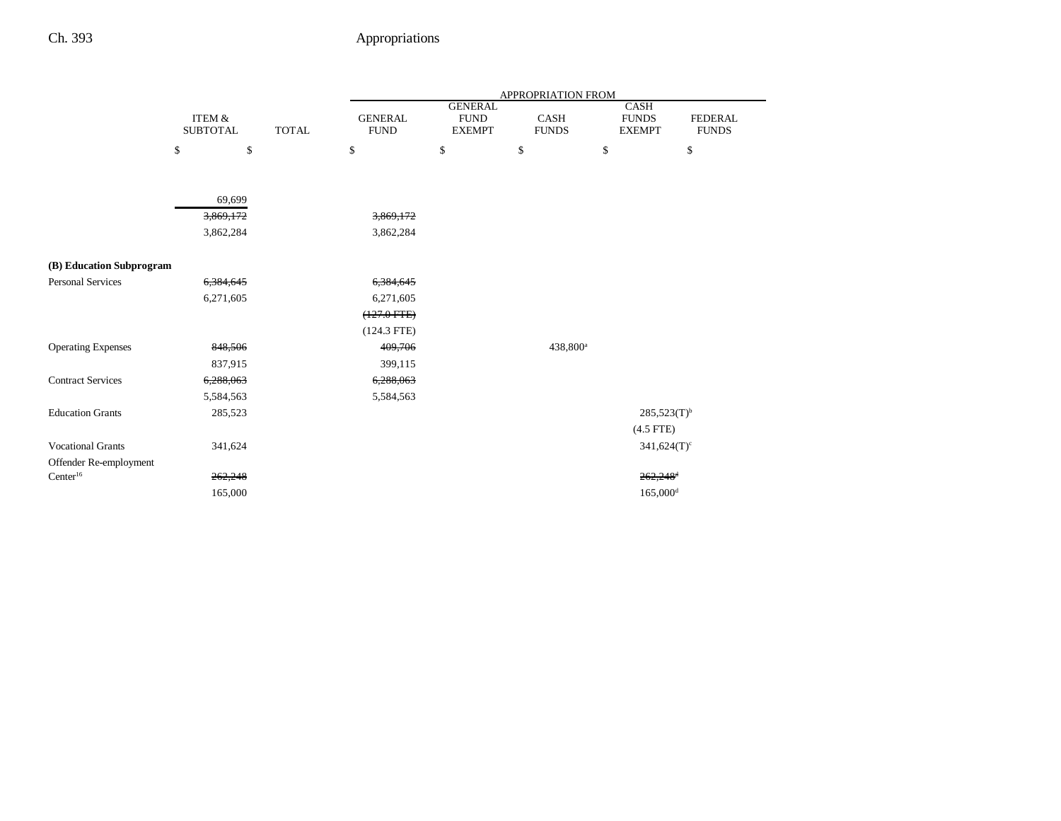|                           |                           |              | APPROPRIATION FROM            |                                                |                      |    |                                              |                                |  |
|---------------------------|---------------------------|--------------|-------------------------------|------------------------------------------------|----------------------|----|----------------------------------------------|--------------------------------|--|
|                           | ITEM &<br><b>SUBTOTAL</b> | <b>TOTAL</b> | <b>GENERAL</b><br><b>FUND</b> | <b>GENERAL</b><br><b>FUND</b><br><b>EXEMPT</b> | CASH<br><b>FUNDS</b> |    | <b>CASH</b><br><b>FUNDS</b><br><b>EXEMPT</b> | <b>FEDERAL</b><br><b>FUNDS</b> |  |
|                           | \$<br>\$                  |              | \$                            | \$                                             | \$                   | \$ |                                              | $\mathbb{S}$                   |  |
|                           |                           |              |                               |                                                |                      |    |                                              |                                |  |
|                           | 69,699                    |              |                               |                                                |                      |    |                                              |                                |  |
|                           | 3,869,172                 |              | 3,869,172                     |                                                |                      |    |                                              |                                |  |
|                           | 3,862,284                 |              | 3,862,284                     |                                                |                      |    |                                              |                                |  |
|                           |                           |              |                               |                                                |                      |    |                                              |                                |  |
| (B) Education Subprogram  |                           |              |                               |                                                |                      |    |                                              |                                |  |
| <b>Personal Services</b>  | 6,384,645                 |              | 6,384,645                     |                                                |                      |    |                                              |                                |  |
|                           | 6,271,605                 |              | 6,271,605                     |                                                |                      |    |                                              |                                |  |
|                           |                           |              | $(127.0$ FTE $)$              |                                                |                      |    |                                              |                                |  |
|                           |                           |              | $(124.3$ FTE)                 |                                                |                      |    |                                              |                                |  |
| <b>Operating Expenses</b> | 848,506                   |              | 409,706                       |                                                | 438,800 <sup>a</sup> |    |                                              |                                |  |
|                           | 837,915                   |              | 399,115                       |                                                |                      |    |                                              |                                |  |
| <b>Contract Services</b>  | 6,288,063                 |              | 6,288,063                     |                                                |                      |    |                                              |                                |  |
|                           | 5,584,563                 |              | 5,584,563                     |                                                |                      |    |                                              |                                |  |
| <b>Education Grants</b>   | 285,523                   |              |                               |                                                |                      |    | $285,523(T)^{b}$                             |                                |  |
|                           |                           |              |                               |                                                |                      |    | $(4.5$ FTE)                                  |                                |  |
| <b>Vocational Grants</b>  | 341,624                   |              |                               |                                                |                      |    | $341,624(T)$ <sup>c</sup>                    |                                |  |
| Offender Re-employment    |                           |              |                               |                                                |                      |    |                                              |                                |  |
| Center <sup>16</sup>      | 262,248                   |              |                               |                                                |                      |    | $262,248$ <sup>4</sup>                       |                                |  |
|                           | 165,000                   |              |                               |                                                |                      |    | $165,000$ <sup>d</sup>                       |                                |  |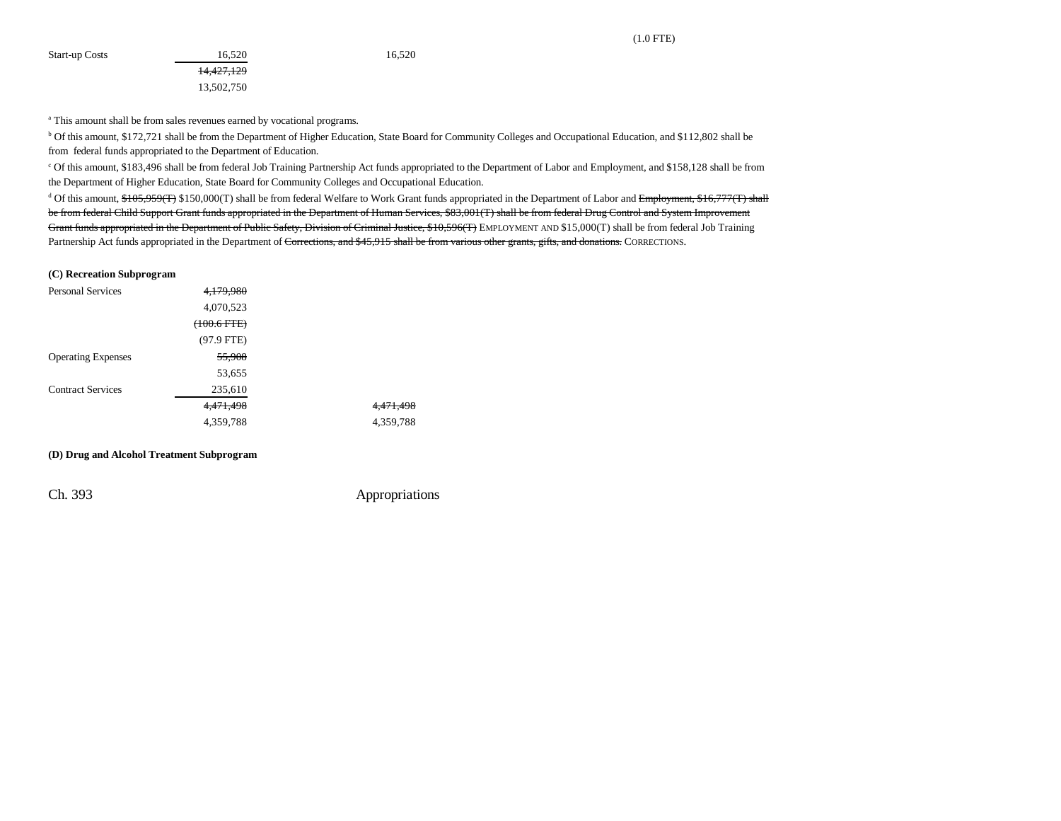(1.0 FTE)

<sup>a</sup> This amount shall be from sales revenues earned by vocational programs.

14,427,129 13,502,750

b Of this amount, \$172,721 shall be from the Department of Higher Education, State Board for Community Colleges and Occupational Education, and \$112,802 shall be from federal funds appropriated to the Department of Education.

c Of this amount, \$183,496 shall be from federal Job Training Partnership Act funds appropriated to the Department of Labor and Employment, and \$158,128 shall be from the Department of Higher Education, State Board for Community Colleges and Occupational Education.

<sup>d</sup> Of this amount, \$105,959(T) \$150,000(T) shall be from federal Welfare to Work Grant funds appropriated in the Department of Labor and Employment, \$16,777(T) shall be from federal Child Support Grant funds appropriated in the Department of Human Services, \$83,001(T) shall be from federal Drug Control and System Improvement Grant funds appropriated in the Department of Public Safety, Division of Criminal Justice, \$10,596(T) EMPLOYMENT AND \$15,000(T) shall be from federal Job Training Partnership Act funds appropriated in the Department of Corrections, and \$45,915 shall be from various other grants, gifts, and donations. CORRECTIONS.

#### **(C) Recreation Subprogram**

| <b>Personal Services</b>  | 4.179.980    |           |
|---------------------------|--------------|-----------|
|                           | 4,070,523    |           |
|                           | (100.6 FTE)  |           |
|                           | $(97.9$ FTE) |           |
| <b>Operating Expenses</b> | 55,908       |           |
|                           | 53,655       |           |
| <b>Contract Services</b>  | 235,610      |           |
|                           | 4,471,498    | 4,471,498 |
|                           | 4,359,788    | 4,359,788 |

#### **(D) Drug and Alcohol Treatment Subprogram**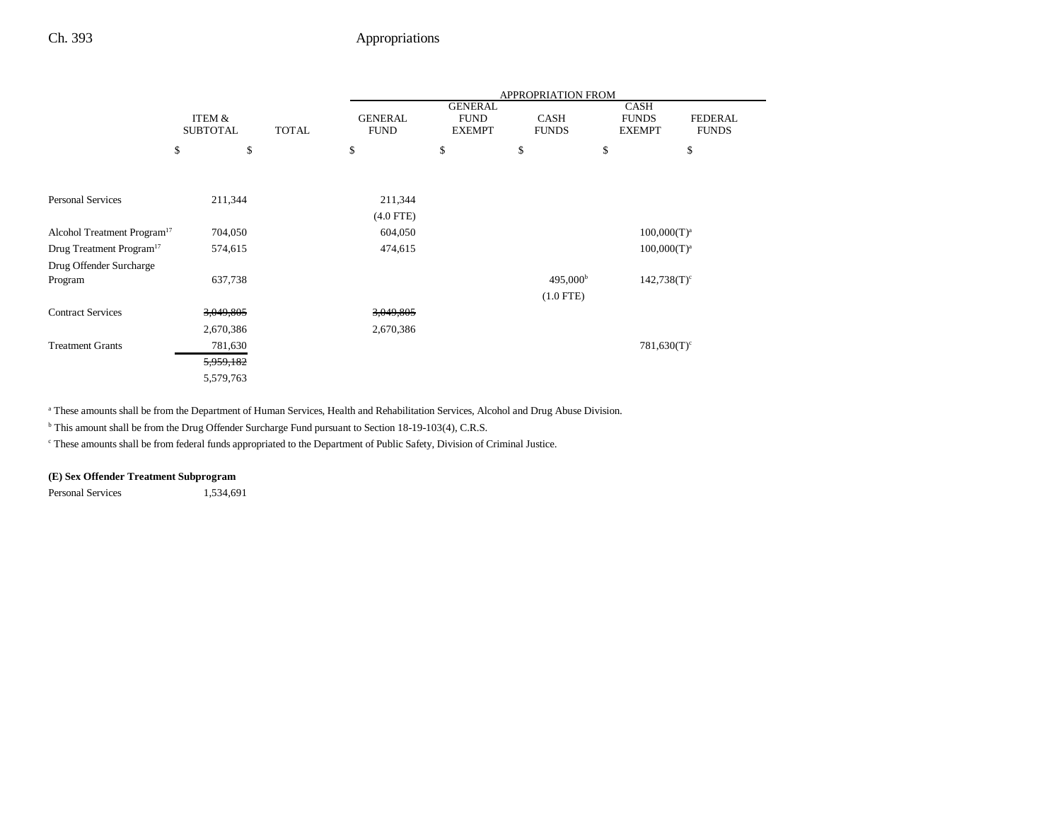|                                         |                           |              | <b>APPROPRIATION FROM</b>     |                                                |                             |                                              |                                |
|-----------------------------------------|---------------------------|--------------|-------------------------------|------------------------------------------------|-----------------------------|----------------------------------------------|--------------------------------|
|                                         | ITEM &<br><b>SUBTOTAL</b> | <b>TOTAL</b> | <b>GENERAL</b><br><b>FUND</b> | <b>GENERAL</b><br><b>FUND</b><br><b>EXEMPT</b> | <b>CASH</b><br><b>FUNDS</b> | <b>CASH</b><br><b>FUNDS</b><br><b>EXEMPT</b> | <b>FEDERAL</b><br><b>FUNDS</b> |
|                                         | \$<br>\$                  |              | \$                            | \$                                             | \$                          | \$                                           | \$                             |
|                                         |                           |              |                               |                                                |                             |                                              |                                |
| <b>Personal Services</b>                | 211,344                   |              | 211,344                       |                                                |                             |                                              |                                |
|                                         |                           |              | $(4.0$ FTE)                   |                                                |                             |                                              |                                |
| Alcohol Treatment Program <sup>17</sup> | 704,050                   |              | 604,050                       |                                                |                             | $100,000(T)^a$                               |                                |
| Drug Treatment Program <sup>17</sup>    | 574,615                   |              | 474,615                       |                                                |                             | $100,000(T)^a$                               |                                |
| Drug Offender Surcharge                 |                           |              |                               |                                                |                             |                                              |                                |
| Program                                 | 637,738                   |              |                               |                                                | 495,000 <sup>b</sup>        | $142,738(T)^c$                               |                                |
|                                         |                           |              |                               |                                                | $(1.0$ FTE)                 |                                              |                                |
| <b>Contract Services</b>                | 3,049,805                 |              | 3,049,805                     |                                                |                             |                                              |                                |
|                                         | 2,670,386                 |              | 2,670,386                     |                                                |                             |                                              |                                |
| <b>Treatment Grants</b>                 | 781,630                   |              |                               |                                                |                             | $781,630(T)^c$                               |                                |
|                                         | 5,959,182                 |              |                               |                                                |                             |                                              |                                |
|                                         | 5,579,763                 |              |                               |                                                |                             |                                              |                                |

a These amounts shall be from the Department of Human Services, Health and Rehabilitation Services, Alcohol and Drug Abuse Division.

b This amount shall be from the Drug Offender Surcharge Fund pursuant to Section 18-19-103(4), C.R.S.

c These amounts shall be from federal funds appropriated to the Department of Public Safety, Division of Criminal Justice.

#### **(E) Sex Offender Treatment Subprogram**

Personal Services 1,534,691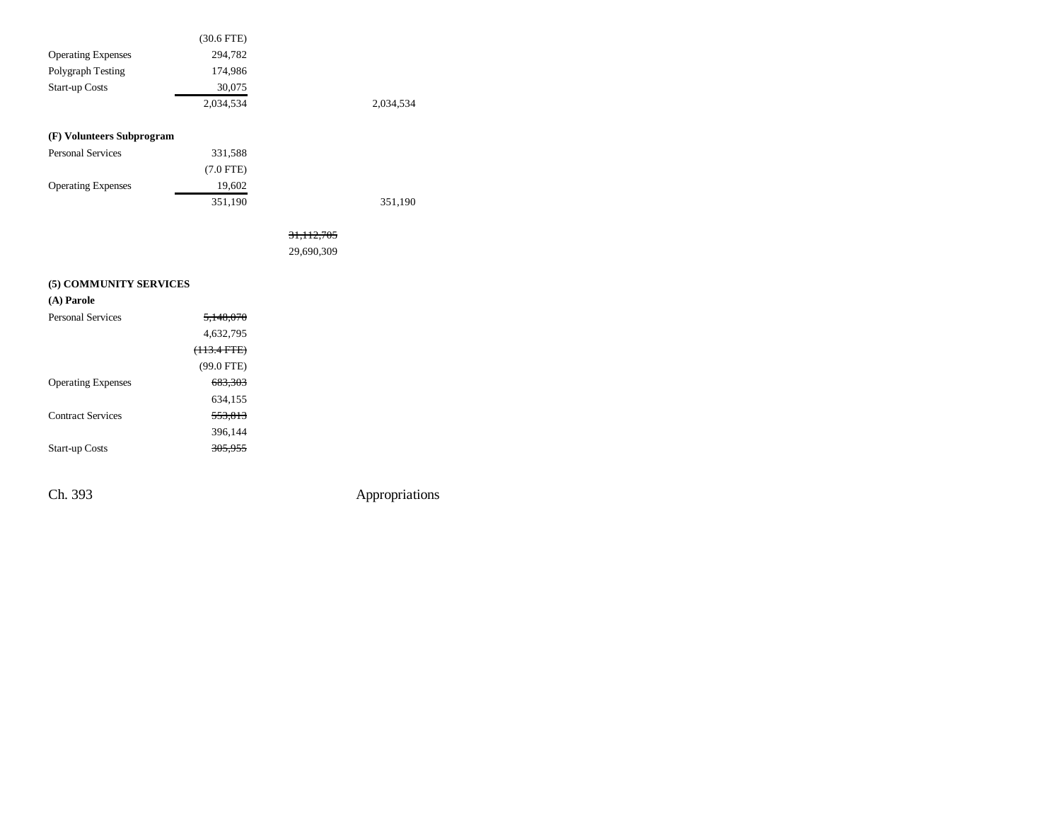|                           | $(30.6$ FTE)   |              |           |
|---------------------------|----------------|--------------|-----------|
| <b>Operating Expenses</b> | 294,782        |              |           |
| Polygraph Testing         | 174,986        |              |           |
| <b>Start-up Costs</b>     | 30,075         |              |           |
|                           | 2,034,534      |              | 2,034,534 |
|                           |                |              |           |
| (F) Volunteers Subprogram |                |              |           |
| <b>Personal Services</b>  | 331,588        |              |           |
|                           | $(7.0$ FTE $)$ |              |           |
| <b>Operating Expenses</b> | 19,602         |              |           |
|                           | 351,190        |              | 351,190   |
|                           |                |              |           |
|                           |                | 31, 112, 705 |           |
|                           |                | 29,690,309   |           |
|                           |                |              |           |
| (5) COMMUNITY SERVICES    |                |              |           |
| (A) Parole                |                |              |           |
| <b>Personal Services</b>  | 5,148,070      |              |           |
|                           | 4,632,795      |              |           |
|                           | (113.4 FTE)    |              |           |
|                           | $(99.0$ FTE)   |              |           |
| <b>Operating Expenses</b> | 683,303        |              |           |
|                           | 634,155        |              |           |
| <b>Contract Services</b>  | 553,813        |              |           |
|                           | 396,144        |              |           |
| <b>Start-up Costs</b>     | 305,955        |              |           |
|                           |                |              |           |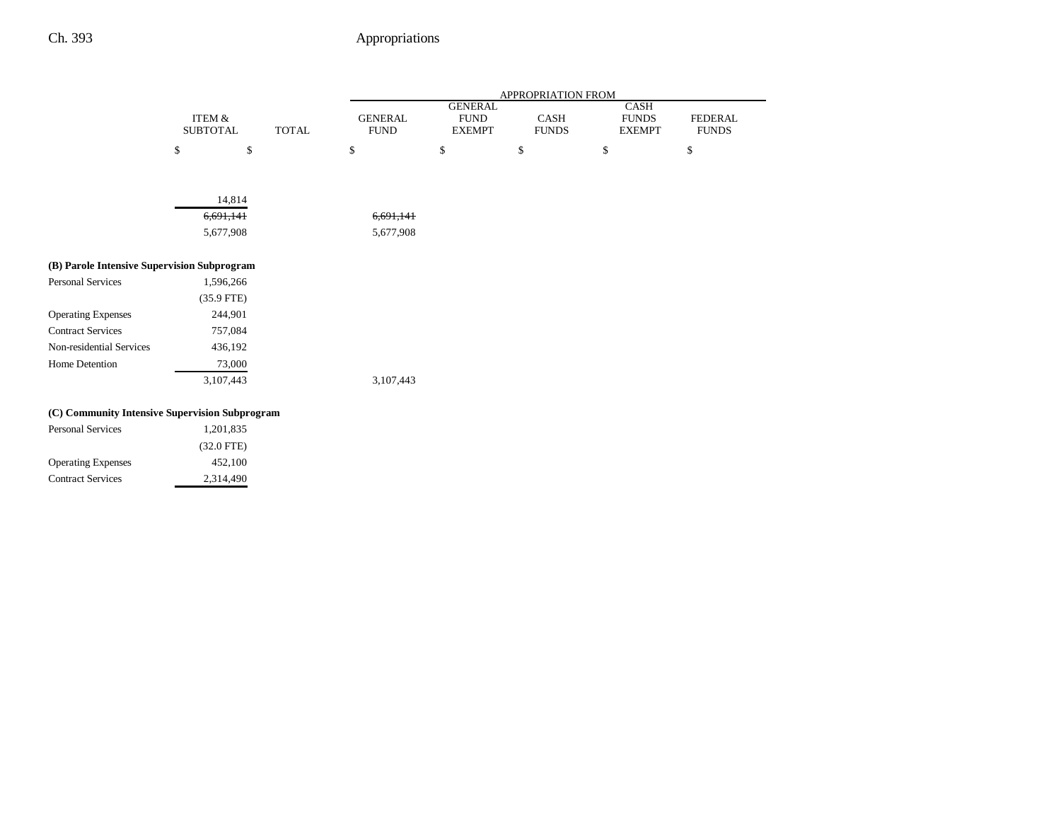|                                                |                                      |              | APPROPRIATION FROM            |                                                |                      |                                              |                                |
|------------------------------------------------|--------------------------------------|--------------|-------------------------------|------------------------------------------------|----------------------|----------------------------------------------|--------------------------------|
|                                                | <b>ITEM &amp;</b><br><b>SUBTOTAL</b> | <b>TOTAL</b> | <b>GENERAL</b><br><b>FUND</b> | <b>GENERAL</b><br><b>FUND</b><br><b>EXEMPT</b> | CASH<br><b>FUNDS</b> | <b>CASH</b><br><b>FUNDS</b><br><b>EXEMPT</b> | <b>FEDERAL</b><br><b>FUNDS</b> |
|                                                | \$                                   | \$           | \$                            | $\mathbb{S}$                                   | \$                   | \$                                           | \$                             |
|                                                |                                      |              |                               |                                                |                      |                                              |                                |
|                                                | 14,814                               |              |                               |                                                |                      |                                              |                                |
|                                                | 6,691,141                            |              | 6,691,141                     |                                                |                      |                                              |                                |
|                                                | 5,677,908                            |              | 5,677,908                     |                                                |                      |                                              |                                |
| (B) Parole Intensive Supervision Subprogram    |                                      |              |                               |                                                |                      |                                              |                                |
| <b>Personal Services</b>                       | 1,596,266                            |              |                               |                                                |                      |                                              |                                |
|                                                | $(35.9$ FTE)                         |              |                               |                                                |                      |                                              |                                |
| <b>Operating Expenses</b>                      | 244,901                              |              |                               |                                                |                      |                                              |                                |
| <b>Contract Services</b>                       | 757,084                              |              |                               |                                                |                      |                                              |                                |
| Non-residential Services                       | 436,192                              |              |                               |                                                |                      |                                              |                                |
| Home Detention                                 | 73,000                               |              |                               |                                                |                      |                                              |                                |
|                                                | 3,107,443                            |              | 3,107,443                     |                                                |                      |                                              |                                |
| (C) Community Intensive Supervision Subprogram |                                      |              |                               |                                                |                      |                                              |                                |
| <b>Personal Services</b>                       | 1,201,835                            |              |                               |                                                |                      |                                              |                                |
|                                                | $(32.0$ FTE)                         |              |                               |                                                |                      |                                              |                                |
| <b>Operating Expenses</b>                      | 452,100                              |              |                               |                                                |                      |                                              |                                |
| <b>Contract Services</b>                       | 2,314,490                            |              |                               |                                                |                      |                                              |                                |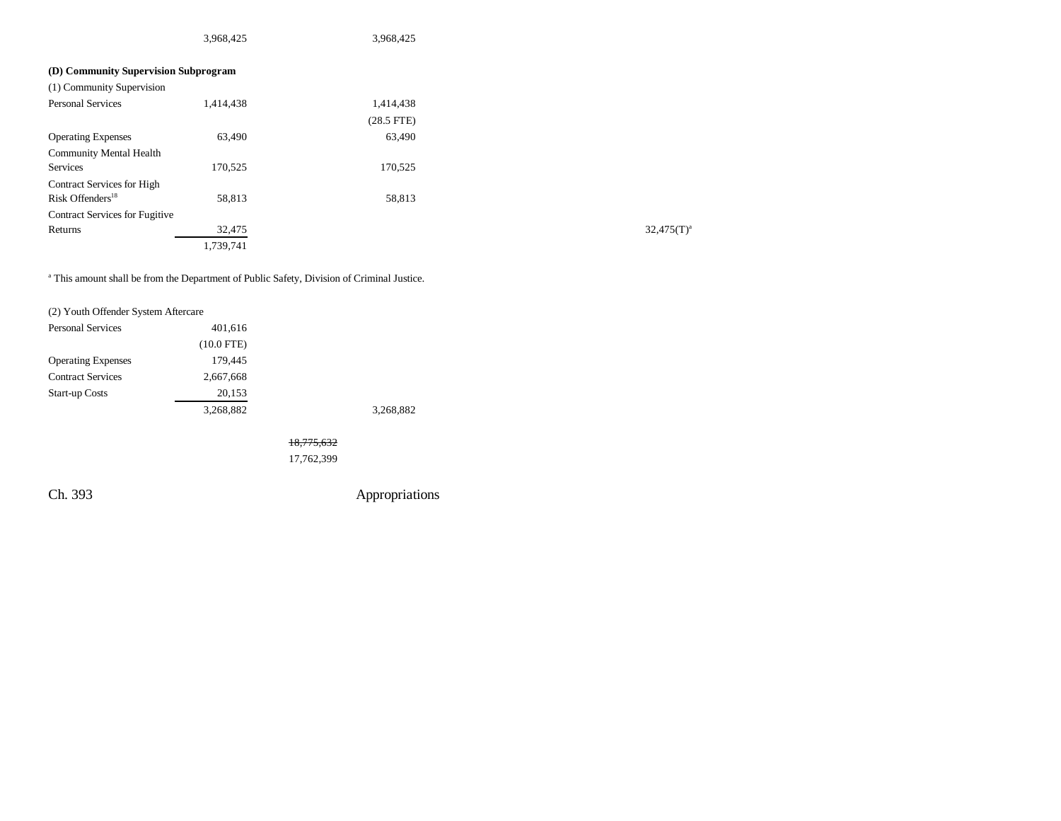|                                       | 3,968,425 | 3,968,425    |               |
|---------------------------------------|-----------|--------------|---------------|
| (D) Community Supervision Subprogram  |           |              |               |
| (1) Community Supervision             |           |              |               |
| <b>Personal Services</b>              | 1,414,438 | 1,414,438    |               |
|                                       |           | $(28.5$ FTE) |               |
| <b>Operating Expenses</b>             | 63,490    | 63,490       |               |
| <b>Community Mental Health</b>        |           |              |               |
| Services                              | 170,525   | 170,525      |               |
| Contract Services for High            |           |              |               |
| Risk Offenders <sup>18</sup>          | 58,813    | 58,813       |               |
| <b>Contract Services for Fugitive</b> |           |              |               |
| Returns                               | 32,475    |              | $32,475(T)^3$ |
|                                       | 1,739,741 |              |               |

a This amount shall be from the Department of Public Safety, Division of Criminal Justice.

| (2) Youth Offender System Aftercare |              |       |
|-------------------------------------|--------------|-------|
| <b>Personal Services</b>            | 401,616      |       |
|                                     | $(10.0$ FTE) |       |
| <b>Operating Expenses</b>           | 179,445      |       |
| <b>Contract Services</b>            | 2,667,668    |       |
| <b>Start-up Costs</b>               | 20,153       |       |
|                                     | 3,268,882    | 3.268 |
|                                     |              |       |

 $3,882$ 

18,775,632 17,762,399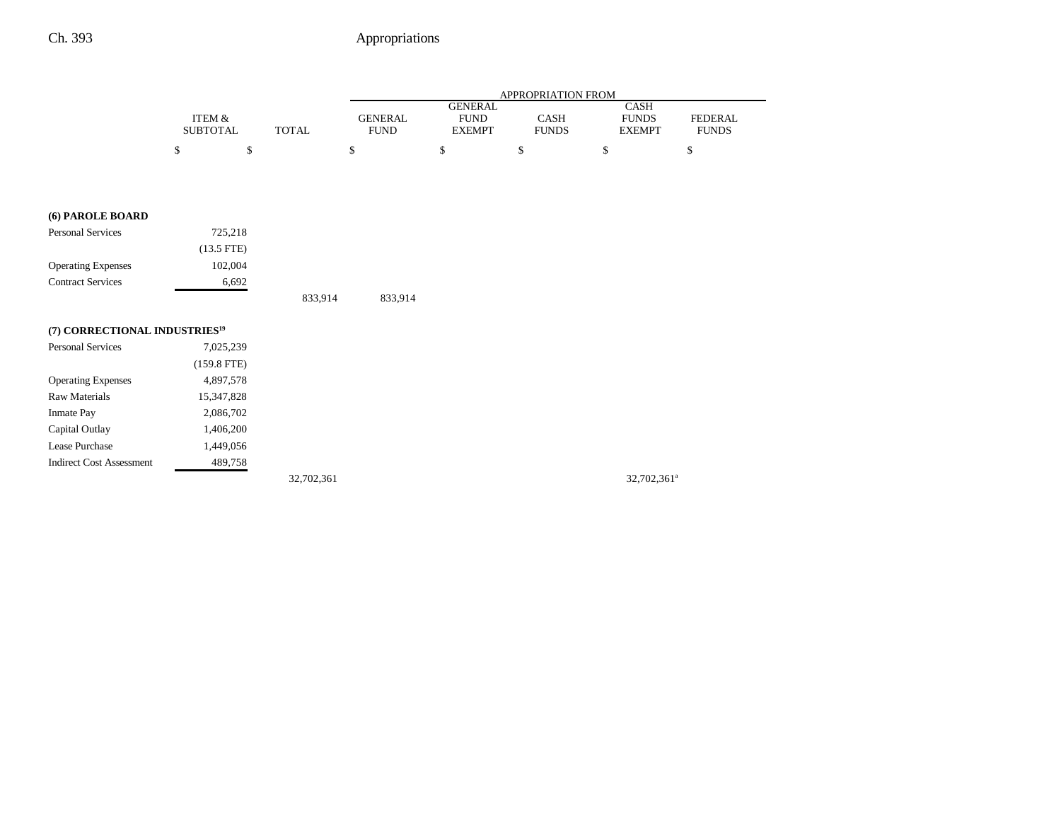|                                           |                                      |              |              | APPROPRIATION FROM |                               |                                                |                             |    |                                              |                                |
|-------------------------------------------|--------------------------------------|--------------|--------------|--------------------|-------------------------------|------------------------------------------------|-----------------------------|----|----------------------------------------------|--------------------------------|
|                                           | <b>ITEM &amp;</b><br><b>SUBTOTAL</b> |              | <b>TOTAL</b> |                    | <b>GENERAL</b><br><b>FUND</b> | <b>GENERAL</b><br><b>FUND</b><br><b>EXEMPT</b> | <b>CASH</b><br><b>FUNDS</b> |    | <b>CASH</b><br><b>FUNDS</b><br><b>EXEMPT</b> | <b>FEDERAL</b><br><b>FUNDS</b> |
|                                           | $\mathbb{S}$                         | $\mathbb{S}$ |              | \$                 |                               | $\mathbb{S}$                                   | \$                          | \$ |                                              | \$                             |
|                                           |                                      |              |              |                    |                               |                                                |                             |    |                                              |                                |
|                                           |                                      |              |              |                    |                               |                                                |                             |    |                                              |                                |
| (6) PAROLE BOARD                          |                                      |              |              |                    |                               |                                                |                             |    |                                              |                                |
| <b>Personal Services</b>                  |                                      | 725,218      |              |                    |                               |                                                |                             |    |                                              |                                |
|                                           | $(13.5$ FTE)                         |              |              |                    |                               |                                                |                             |    |                                              |                                |
| <b>Operating Expenses</b>                 |                                      | 102,004      |              |                    |                               |                                                |                             |    |                                              |                                |
| <b>Contract Services</b>                  |                                      | 6,692        |              |                    |                               |                                                |                             |    |                                              |                                |
|                                           |                                      |              | 833,914      |                    | 833,914                       |                                                |                             |    |                                              |                                |
| (7) CORRECTIONAL INDUSTRIES <sup>19</sup> |                                      |              |              |                    |                               |                                                |                             |    |                                              |                                |
| <b>Personal Services</b>                  | 7,025,239                            |              |              |                    |                               |                                                |                             |    |                                              |                                |
|                                           | $(159.8$ FTE)                        |              |              |                    |                               |                                                |                             |    |                                              |                                |
| <b>Operating Expenses</b>                 | 4,897,578                            |              |              |                    |                               |                                                |                             |    |                                              |                                |
| <b>Raw Materials</b>                      | 15,347,828                           |              |              |                    |                               |                                                |                             |    |                                              |                                |
| Inmate Pay                                | 2,086,702                            |              |              |                    |                               |                                                |                             |    |                                              |                                |
| Capital Outlay                            | 1,406,200                            |              |              |                    |                               |                                                |                             |    |                                              |                                |
| Lease Purchase                            | 1,449,056                            |              |              |                    |                               |                                                |                             |    |                                              |                                |
| <b>Indirect Cost Assessment</b>           |                                      | 489,758      |              |                    |                               |                                                |                             |    |                                              |                                |
|                                           |                                      |              | 32,702,361   |                    |                               |                                                |                             |    | 32,702,361 <sup>a</sup>                      |                                |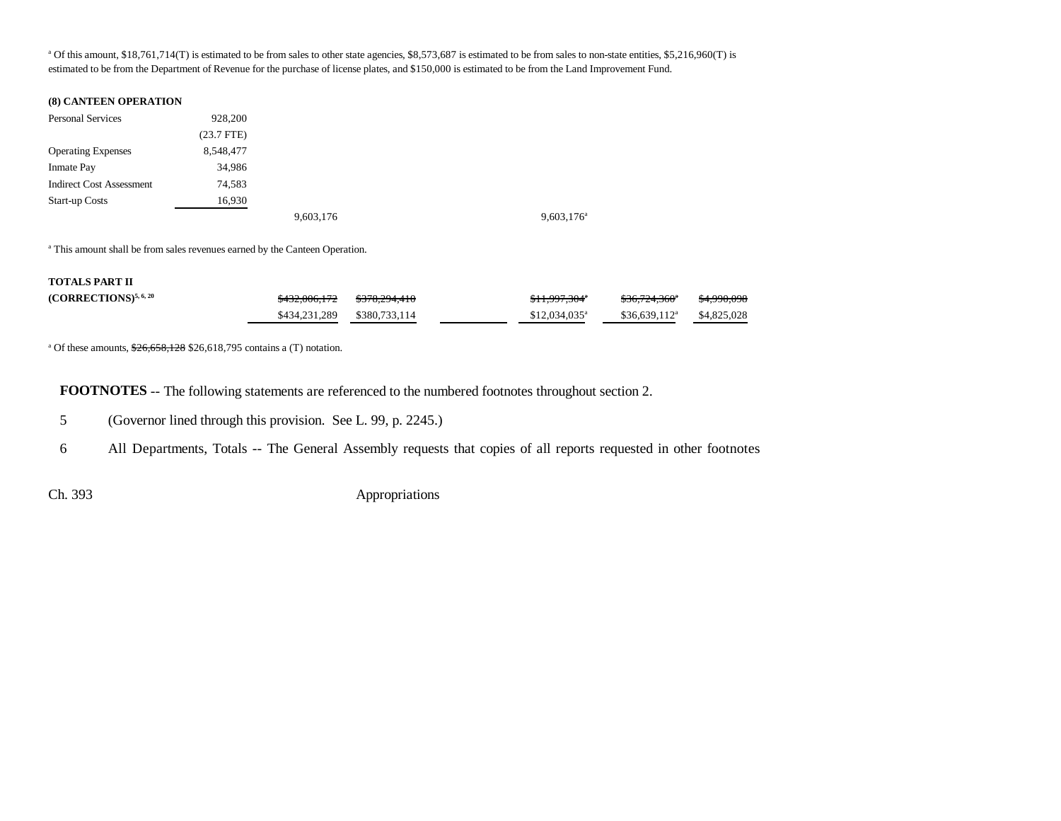<sup>a</sup> Of this amount, \$18,761,714(T) is estimated to be from sales to other state agencies, \$8,573,687 is estimated to be from sales to non-state entities, \$5,216,960(T) is estimated to be from the Department of Revenue for the purchase of license plates, and \$150,000 is estimated to be from the Land Improvement Fund.

#### **(8) CANTEEN OPERATION**

| <b>Personal Services</b>        | 928,200      |           |                     |
|---------------------------------|--------------|-----------|---------------------|
|                                 | $(23.7$ FTE) |           |                     |
| <b>Operating Expenses</b>       | 8,548,477    |           |                     |
| <b>Inmate Pay</b>               | 34,986       |           |                     |
| <b>Indirect Cost Assessment</b> | 74.583       |           |                     |
| <b>Start-up Costs</b>           | 16,930       |           |                     |
|                                 |              | 9,603,176 | $9,603,176^{\circ}$ |

<sup>a</sup> This amount shall be from sales revenues earned by the Canteen Operation.

#### **TOTALS PART II**

| $(CORRECTIONS)^{5,6,20}$ | <del>\$432.006.172</del> | <del>\$378.294.410</del> | $$11,997,304$ <sup>*</sup> | \$36.724.360 <sup>*</sup> | <del>\$4,990,098</del> |
|--------------------------|--------------------------|--------------------------|----------------------------|---------------------------|------------------------|
|                          |                          |                          | $$12,034,035$ <sup>a</sup> | $$36.639.112^a$           | \$4,825,028            |

<sup>a</sup> Of these amounts,  $\frac{$26,658,128}{$26,618,795}$  contains a (T) notation.

**FOOTNOTES** -- The following statements are referenced to the numbered footnotes throughout section 2.

5 (Governor lined through this provision. See L. 99, p. 2245.)

6 All Departments, Totals -- The General Assembly requests that copies of all reports requested in other footnotes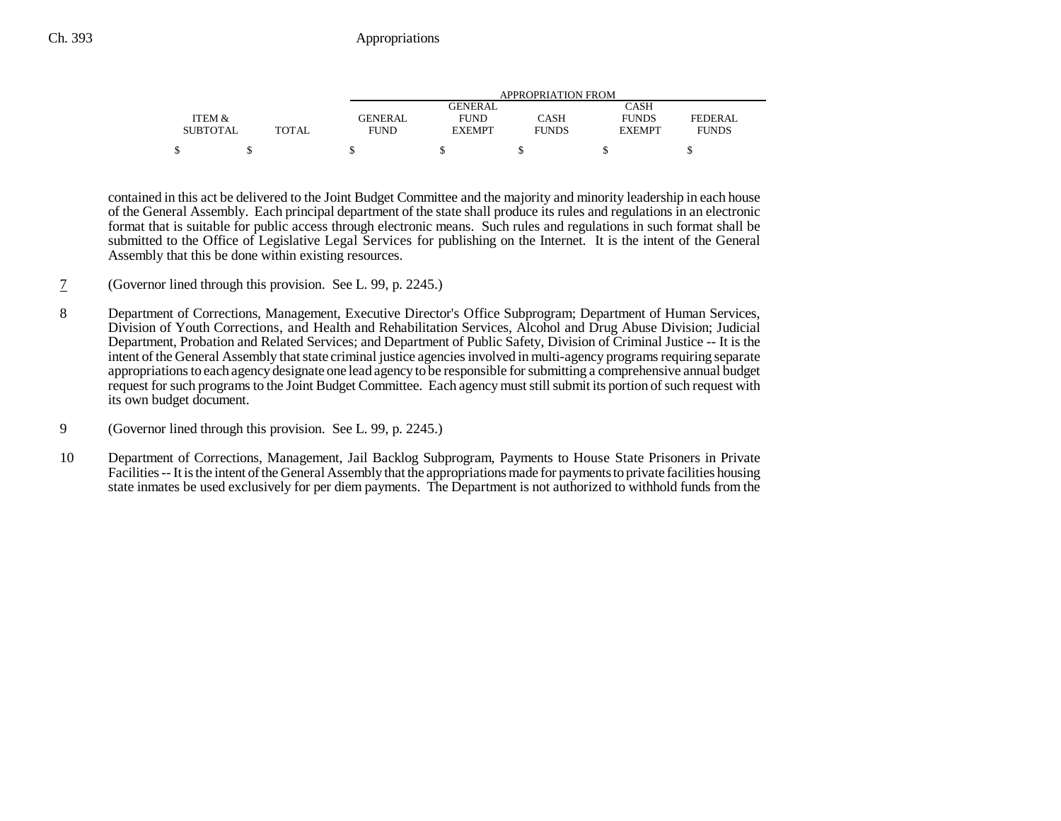|                 |              | APPROPRIATION FROM |               |              |               |              |  |
|-----------------|--------------|--------------------|---------------|--------------|---------------|--------------|--|
|                 |              | CASH<br>GENERAL    |               |              |               |              |  |
| ITEM &          |              | <b>GENERAL</b>     | <b>FUND</b>   | CASH         | <b>FUNDS</b>  | FEDERAL      |  |
| <b>SUBTOTAL</b> | <b>TOTAL</b> | <b>FUND</b>        | <b>EXEMPT</b> | <b>FUNDS</b> | <b>EXEMPT</b> | <b>FUNDS</b> |  |
| ¢               |              |                    |               |              |               |              |  |

contained in this act be delivered to the Joint Budget Committee and the majority and minority leadership in each house of the General Assembly. Each principal department of the state shall produce its rules and regulations in an electronic format that is suitable for public access through electronic means. Such rules and regulations in such format shall be submitted to the Office of Legislative Legal Services for publishing on the Internet. It is the intent of the General Assembly that this be done within existing resources.

- 7(Governor lined through this provision. See L. 99, p. 2245.)
- 8 Department of Corrections, Management, Executive Director's Office Subprogram; Department of Human Services, Division of Youth Corrections, and Health and Rehabilitation Services, Alcohol and Drug Abuse Division; Judicial Department, Probation and Related Services; and Department of Public Safety, Division of Criminal Justice -- It is the intent of the General Assembly that state criminal justice agencies involved in multi-agency programs requiring separate appropriations to each agency designate one lead agency to be responsible for submitting a comprehensive annual budget request for such programs to the Joint Budget Committee. Each agency must still submit its portion of such request with its own budget document.
- 9 (Governor lined through this provision. See L. 99, p. 2245.)
- 10 Department of Corrections, Management, Jail Backlog Subprogram, Payments to House State Prisoners in Private Facilities -- It is the intent of the General Assembly that the appropriations made for payments to private facilities housing state inmates be used exclusively for per diem payments. The Department is not authorized to withhold funds from the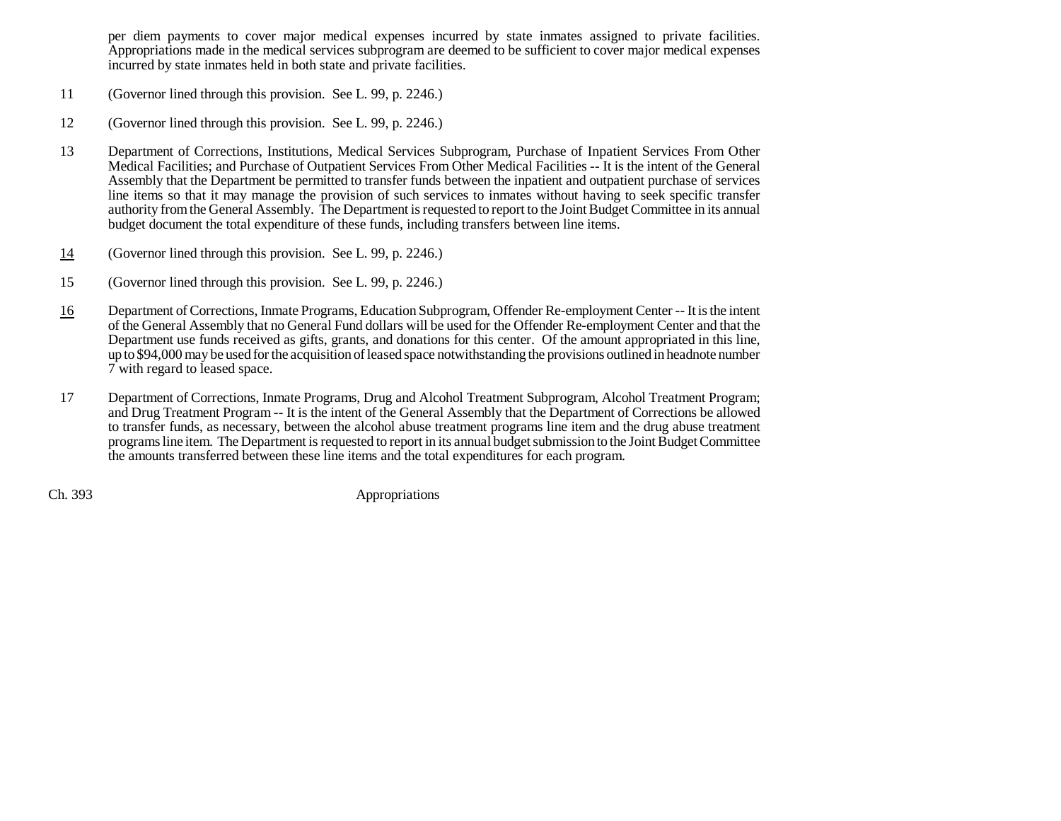per diem payments to cover major medical expenses incurred by state inmates assigned to private facilities. Appropriations made in the medical services subprogram are deemed to be sufficient to cover major medical expenses incurred by state inmates held in both state and private facilities.

- 11 (Governor lined through this provision. See L. 99, p. 2246.)
- 12 (Governor lined through this provision. See L. 99, p. 2246.)
- 13 Department of Corrections, Institutions, Medical Services Subprogram, Purchase of Inpatient Services From Other Medical Facilities; and Purchase of Outpatient Services From Other Medical Facilities -- It is the intent of the General Assembly that the Department be permitted to transfer funds between the inpatient and outpatient purchase of services line items so that it may manage the provision of such services to inmates without having to seek specific transfer authority from the General Assembly. The Department is requested to report to the Joint Budget Committee in its annual budget document the total expenditure of these funds, including transfers between line items.
- 14(Governor lined through this provision. See L. 99, p. 2246.)
- 15 (Governor lined through this provision. See L. 99, p. 2246.)
- 16 Department of Corrections, Inmate Programs, Education Subprogram, Offender Re-employment Center -- It is the intent of the General Assembly that no General Fund dollars will be used for the Offender Re-employment Center and that the Department use funds received as gifts, grants, and donations for this center. Of the amount appropriated in this line, up to \$94,000 may be used for the acquisition of leased space notwithstanding the provisions outlined in headnote number 7 with regard to leased space.
- 17 Department of Corrections, Inmate Programs, Drug and Alcohol Treatment Subprogram, Alcohol Treatment Program; and Drug Treatment Program -- It is the intent of the General Assembly that the Department of Corrections be allowed to transfer funds, as necessary, between the alcohol abuse treatment programs line item and the drug abuse treatment programs line item. The Department is requested to report in its annual budget submission to the Joint Budget Committee the amounts transferred between these line items and the total expenditures for each program.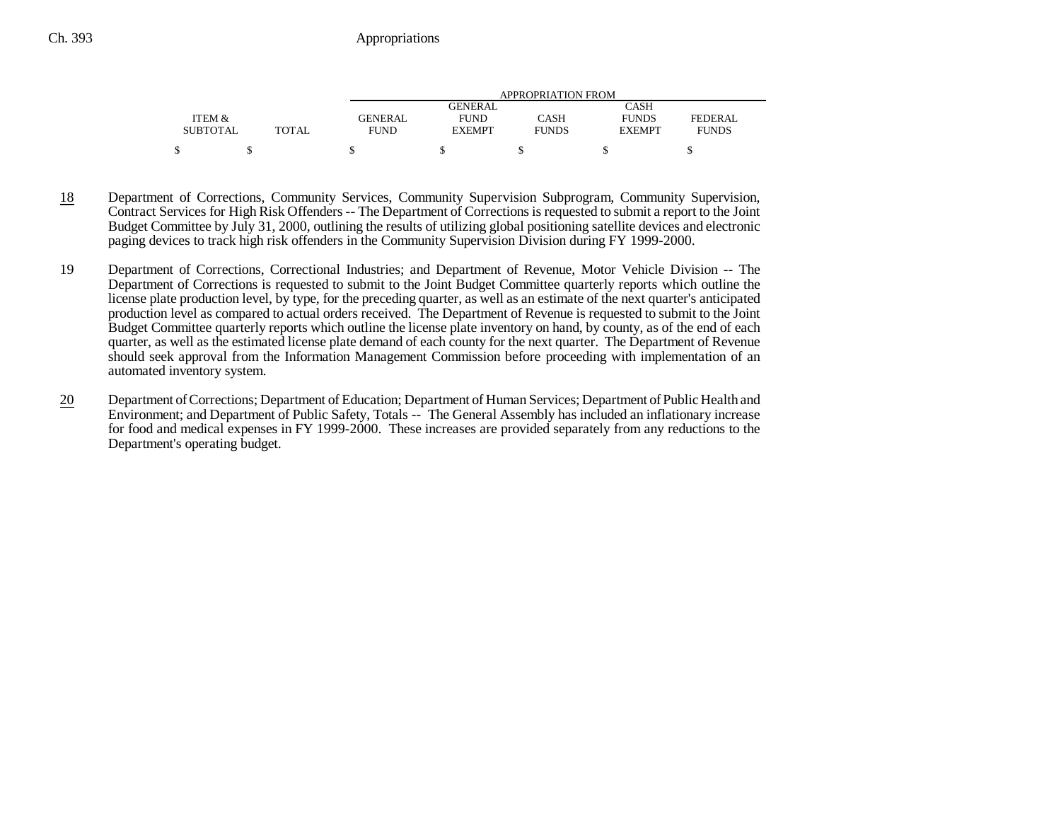|                 |       | APPROPRIATION FROM |               |              |               |              |  |
|-----------------|-------|--------------------|---------------|--------------|---------------|--------------|--|
|                 |       |                    | GENERAL       |              | CASH          |              |  |
| ITEM &          |       | <b>GENERAL</b>     | <b>FUND</b>   | CASH         | <b>FUNDS</b>  | FEDERAL      |  |
| <b>SUBTOTAL</b> | TOTAL | <b>FUND</b>        | <b>EXEMPT</b> | <b>FUNDS</b> | <b>EXEMPT</b> | <b>FUNDS</b> |  |
|                 |       |                    |               |              |               |              |  |

- 18 Department of Corrections, Community Services, Community Supervision Subprogram, Community Supervision, Contract Services for High Risk Offenders -- The Department of Corrections is requested to submit a report to the Joint Budget Committee by July 31, 2000, outlining the results of utilizing global positioning satellite devices and electronic paging devices to track high risk offenders in the Community Supervision Division during FY 1999-2000.
- 19 Department of Corrections, Correctional Industries; and Department of Revenue, Motor Vehicle Division -- The Department of Corrections is requested to submit to the Joint Budget Committee quarterly reports which outline the license plate production level, by type, for the preceding quarter, as well as an estimate of the next quarter's anticipated production level as compared to actual orders received. The Department of Revenue is requested to submit to the Joint Budget Committee quarterly reports which outline the license plate inventory on hand, by county, as of the end of each quarter, as well as the estimated license plate demand of each county for the next quarter. The Department of Revenue should seek approval from the Information Management Commission before proceeding with implementation of an automated inventory system.
- 20 Department of Corrections; Department of Education; Department of Human Services; Department of Public Health and Environment; and Department of Public Safety, Totals -- The General Assembly has included an inflationary increase for food and medical expenses in FY 1999-2000. These increases are provided separately from any reductions to the Department's operating budget.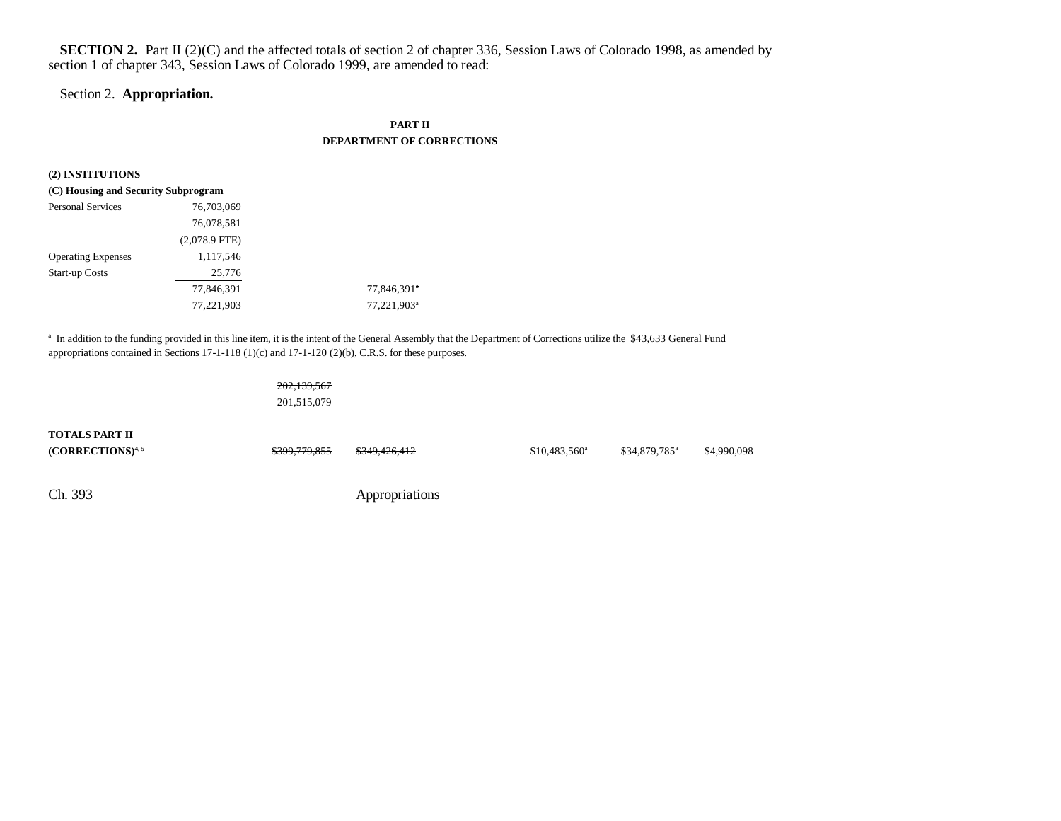## **SECTION 2.** Part II (2)(C) and the affected totals of section 2 of chapter 336, Session Laws of Colorado 1998, as amended by section 1 of chapter 343, Session Laws of Colorado 1999, are amended to read:

#### Section 2. **Appropriation.**

### **PART II DEPARTMENT OF CORRECTIONS**

| (2) INSTITUTIONS                    |                 |                         |
|-------------------------------------|-----------------|-------------------------|
| (C) Housing and Security Subprogram |                 |                         |
| <b>Personal Services</b>            | 76,703,069      |                         |
|                                     | 76,078,581      |                         |
|                                     | $(2,078.9$ FTE) |                         |
| <b>Operating Expenses</b>           | 1,117,546       |                         |
| <b>Start-up Costs</b>               | 25,776          |                         |
|                                     | 77,846,391      | 77,846,391 <sup>*</sup> |
|                                     | 77,221,903      | 77,221,903 <sup>a</sup> |

<sup>a</sup> In addition to the funding provided in this line item, it is the intent of the General Assembly that the Department of Corrections utilize the \$43,633 General Fund appropriations contained in Sections 17-1-118 (1)(c) and 17-1-120 (2)(b), C.R.S. for these purposes.

## 202,139,567

201,515,079

| <b>TOTALS PART II</b><br>$(CORRECTIONS)^{4,5}$ | <del>\$399,779,855</del> | <del>\$349,426,412</del> | $$10,483,560^{\circ}$ | $$34,879,785$ <sup>a</sup> | \$4,990,098 |
|------------------------------------------------|--------------------------|--------------------------|-----------------------|----------------------------|-------------|
| Ch. 393                                        |                          | Appropriations           |                       |                            |             |